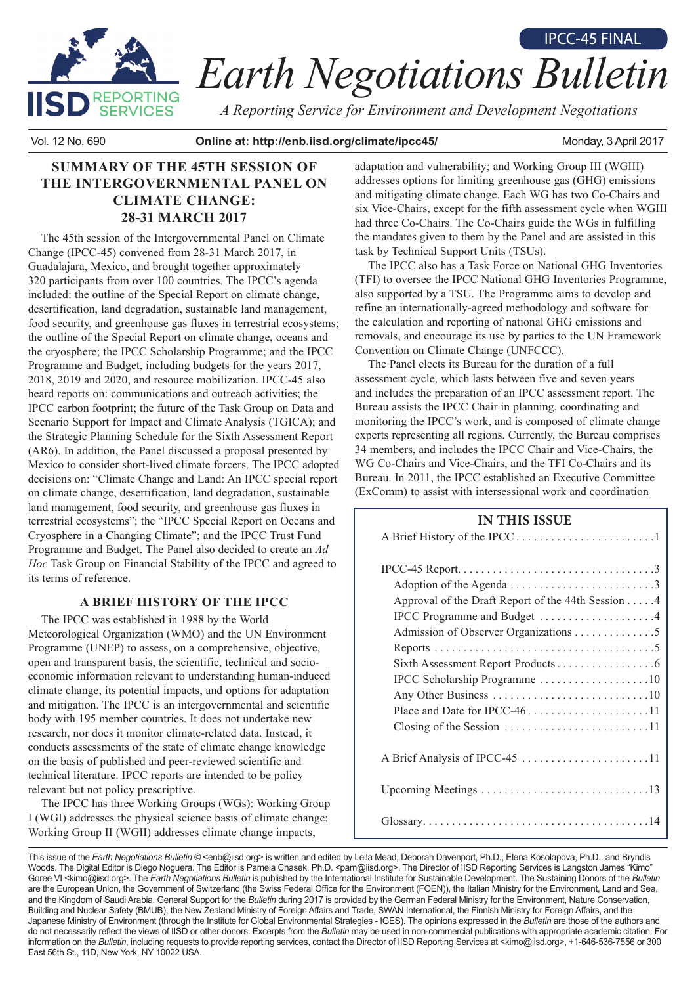

# *Earth Negotiations Bulletin* IPCC-45 FINAL

*A Reporting Service for Environment and Development Negotiations*

Vol. 12 No. 690 **Online at: http://enb.iisd.org/climate/ipcc45/** Monday, 3 April 2017

# **SUMMARY OF THE 45TH SESSION OF THE INTERGOVERNMENTAL PANEL ON CLIMATE CHANGE: 28-31 MARCH 2017**

The 45th session of the Intergovernmental Panel on Climate Change (IPCC-45) convened from 28-31 March 2017, in Guadalajara, Mexico, and brought together approximately 320 participants from over 100 countries. The IPCC's agenda included: the outline of the Special Report on climate change, desertification, land degradation, sustainable land management, food security, and greenhouse gas fluxes in terrestrial ecosystems; the outline of the Special Report on climate change, oceans and the cryosphere; the IPCC Scholarship Programme; and the IPCC Programme and Budget, including budgets for the years 2017, 2018, 2019 and 2020, and resource mobilization. IPCC-45 also heard reports on: communications and outreach activities; the IPCC carbon footprint; the future of the Task Group on Data and Scenario Support for Impact and Climate Analysis (TGICA); and the Strategic Planning Schedule for the Sixth Assessment Report (AR6). In addition, the Panel discussed a proposal presented by Mexico to consider short-lived climate forcers. The IPCC adopted decisions on: "Climate Change and Land: An IPCC special report on climate change, desertification, land degradation, sustainable land management, food security, and greenhouse gas fluxes in terrestrial ecosystems"; the "IPCC Special Report on Oceans and Cryosphere in a Changing Climate"; and the IPCC Trust Fund Programme and Budget. The Panel also decided to create an *Ad Hoc* Task Group on Financial Stability of the IPCC and agreed to its terms of reference.

## **A BRIEF HISTORY OF THE IPCC**

The IPCC was established in 1988 by the World Meteorological Organization (WMO) and the UN Environment Programme (UNEP) to assess, on a comprehensive, objective, open and transparent basis, the scientific, technical and socioeconomic information relevant to understanding human-induced climate change, its potential impacts, and options for adaptation and mitigation. The IPCC is an intergovernmental and scientific body with 195 member countries. It does not undertake new research, nor does it monitor climate-related data. Instead, it conducts assessments of the state of climate change knowledge on the basis of published and peer-reviewed scientific and technical literature. IPCC reports are intended to be policy relevant but not policy prescriptive.

The IPCC has three Working Groups (WGs): Working Group I (WGI) addresses the physical science basis of climate change; Working Group II (WGII) addresses climate change impacts,

adaptation and vulnerability; and Working Group III (WGIII) addresses options for limiting greenhouse gas (GHG) emissions and mitigating climate change. Each WG has two Co-Chairs and six Vice-Chairs, except for the fifth assessment cycle when WGIII had three Co-Chairs. The Co-Chairs guide the WGs in fulfilling the mandates given to them by the Panel and are assisted in this task by Technical Support Units (TSUs).

The IPCC also has a Task Force on National GHG Inventories (TFI) to oversee the IPCC National GHG Inventories Programme, also supported by a TSU. The Programme aims to develop and refine an internationally-agreed methodology and software for the calculation and reporting of national GHG emissions and removals, and encourage its use by parties to the UN Framework Convention on Climate Change (UNFCCC).

The Panel elects its Bureau for the duration of a full assessment cycle, which lasts between five and seven years and includes the preparation of an IPCC assessment report. The Bureau assists the IPCC Chair in planning, coordinating and monitoring the IPCC's work, and is composed of climate change experts representing all regions. Currently, the Bureau comprises 34 members, and includes the IPCC Chair and Vice-Chairs, the WG Co-Chairs and Vice-Chairs, and the TFI Co-Chairs and its Bureau. In 2011, the IPCC established an Executive Committee (ExComm) to assist with intersessional work and coordination

## **IN THIS ISSUE**

| Adoption of the Agenda 3<br>Approval of the Draft Report of the 44th Session 4<br>IPCC Programme and Budget 4<br>Admission of Observer Organizations 5<br>IPCC Scholarship Programme 10 |
|-----------------------------------------------------------------------------------------------------------------------------------------------------------------------------------------|
|                                                                                                                                                                                         |
| A Brief Analysis of IPCC-45 11                                                                                                                                                          |
|                                                                                                                                                                                         |
|                                                                                                                                                                                         |

This issue of the *Earth Negotiations Bulletin* © <enb@iisd.org> is written and edited by Leila Mead, Deborah Davenport, Ph.D., Elena Kosolapova, Ph.D., and Bryndis Woods. The Digital Editor is Diego Noguera. The Editor is Pamela Chasek, Ph.D. <pam@iisd.org>. The Director of IISD Reporting Services is Langston James "Kimo" Goree VI <kimo@iisd.org>. The *Earth Negotiations Bulletin* is published by the International Institute for Sustainable Development. The Sustaining Donors of the Bulletin are the European Union, the Government of Switzerland (the Swiss Federal Office for the Environment (FOEN)), the Italian Ministry for the Environment, Land and Sea, and the Kingdom of Saudi Arabia. General Support for the *Bulletin* during 2017 is provided by the German Federal Ministry for the Environment, Nature Conservation, Building and Nuclear Safety (BMUB), the New Zealand Ministry of Foreign Affairs and Trade, SWAN International, the Finnish Ministry for Foreign Affairs, and the Japanese Ministry of Environment (through the Institute for Global Environmental Strategies - IGES). The opinions expressed in the *Bulletin* are those of the authors and do not necessarily reflect the views of IISD or other donors. Excerpts from the *Bulletin* may be used in non-commercial publications with appropriate academic citation. For information on the *Bulletin*, including requests to provide reporting services, contact the Director of IISD Reporting Services at <kimo@iisd.org>, +1-646-536-7556 or 300 East 56th St., 11D, New York, NY 10022 USA.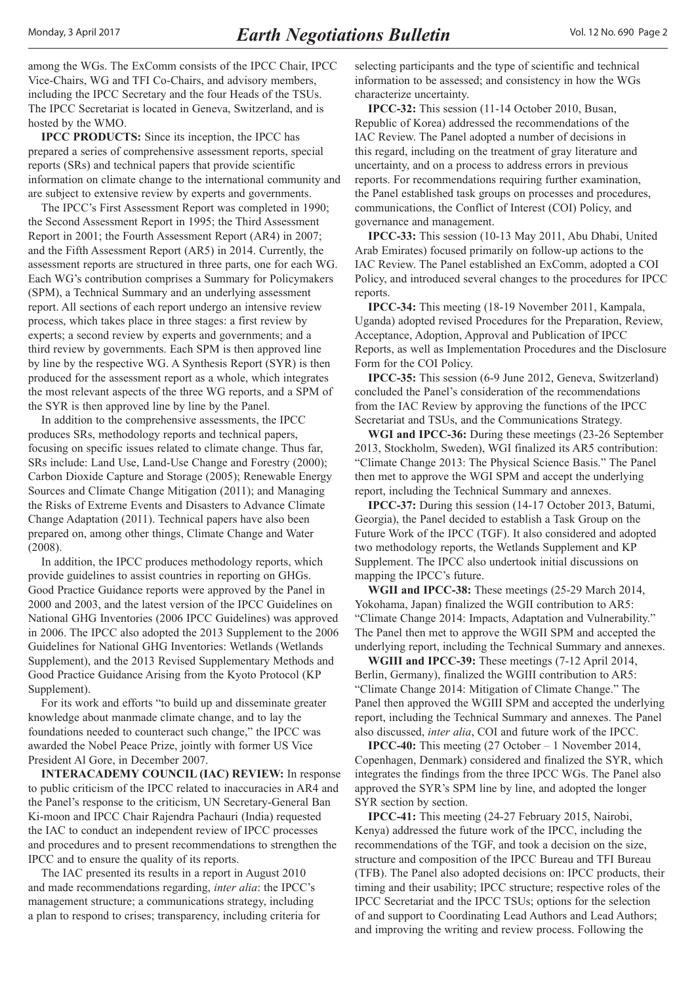among the WGs. The ExComm consists of the IPCC Chair, IPCC Vice-Chairs, WG and TFI Co-Chairs, and advisory members, including the IPCC Secretary and the four Heads of the TSUs. The IPCC Secretariat is located in Geneva, Switzerland, and is hosted by the WMO.

**IPCC PRODUCTS:** Since its inception, the IPCC has prepared a series of comprehensive assessment reports, special reports (SRs) and technical papers that provide scientific information on climate change to the international community and are subject to extensive review by experts and governments.

The IPCC's First Assessment Report was completed in 1990; the Second Assessment Report in 1995; the Third Assessment Report in 2001; the Fourth Assessment Report (AR4) in 2007; and the Fifth Assessment Report (AR5) in 2014. Currently, the assessment reports are structured in three parts, one for each WG. Each WG's contribution comprises a Summary for Policymakers (SPM), a Technical Summary and an underlying assessment report. All sections of each report undergo an intensive review process, which takes place in three stages: a first review by experts; a second review by experts and governments; and a third review by governments. Each SPM is then approved line by line by the respective WG. A Synthesis Report (SYR) is then produced for the assessment report as a whole, which integrates the most relevant aspects of the three WG reports, and a SPM of the SYR is then approved line by line by the Panel.

In addition to the comprehensive assessments, the IPCC produces SRs, methodology reports and technical papers, focusing on specific issues related to climate change. Thus far, SRs include: Land Use, Land-Use Change and Forestry (2000); Carbon Dioxide Capture and Storage (2005); Renewable Energy Sources and Climate Change Mitigation (2011); and Managing the Risks of Extreme Events and Disasters to Advance Climate Change Adaptation (2011). Technical papers have also been prepared on, among other things, Climate Change and Water (2008).

In addition, the IPCC produces methodology reports, which provide guidelines to assist countries in reporting on GHGs. Good Practice Guidance reports were approved by the Panel in 2000 and 2003, and the latest version of the IPCC Guidelines on National GHG Inventories (2006 IPCC Guidelines) was approved in 2006. The IPCC also adopted the 2013 Supplement to the 2006 Guidelines for National GHG Inventories: Wetlands (Wetlands Supplement), and the 2013 Revised Supplementary Methods and Good Practice Guidance Arising from the Kyoto Protocol (KP Supplement).

For its work and efforts "to build up and disseminate greater knowledge about manmade climate change, and to lay the foundations needed to counteract such change," the IPCC was awarded the Nobel Peace Prize, jointly with former US Vice President Al Gore, in December 2007.

**INTERACADEMY COUNCIL (IAC) REVIEW:** In response to public criticism of the IPCC related to inaccuracies in AR4 and the Panel's response to the criticism, UN Secretary-General Ban Ki-moon and IPCC Chair Rajendra Pachauri (India) requested the IAC to conduct an independent review of IPCC processes and procedures and to present recommendations to strengthen the IPCC and to ensure the quality of its reports.

The IAC presented its results in a report in August 2010 and made recommendations regarding, *inter alia*: the IPCC's management structure; a communications strategy, including a plan to respond to crises; transparency, including criteria for selecting participants and the type of scientific and technical information to be assessed; and consistency in how the WGs characterize uncertainty.

**IPCC-32:** This session (11-14 October 2010, Busan, Republic of Korea) addressed the recommendations of the IAC Review. The Panel adopted a number of decisions in this regard, including on the treatment of gray literature and uncertainty, and on a process to address errors in previous reports. For recommendations requiring further examination, the Panel established task groups on processes and procedures, communications, the Conflict of Interest (COI) Policy, and governance and management.

**IPCC-33:** This session (10-13 May 2011, Abu Dhabi, United Arab Emirates) focused primarily on follow-up actions to the IAC Review. The Panel established an ExComm, adopted a COI Policy, and introduced several changes to the procedures for IPCC reports.

**IPCC-34:** This meeting (18-19 November 2011, Kampala, Uganda) adopted revised Procedures for the Preparation, Review, Acceptance, Adoption, Approval and Publication of IPCC Reports, as well as Implementation Procedures and the Disclosure Form for the COI Policy.

**IPCC-35:** This session (6-9 June 2012, Geneva, Switzerland) concluded the Panel's consideration of the recommendations from the IAC Review by approving the functions of the IPCC Secretariat and TSUs, and the Communications Strategy.

**WGI and IPCC-36:** During these meetings (23-26 September 2013, Stockholm, Sweden), WGI finalized its AR5 contribution: "Climate Change 2013: The Physical Science Basis." The Panel then met to approve the WGI SPM and accept the underlying report, including the Technical Summary and annexes.

**IPCC-37:** During this session (14-17 October 2013, Batumi, Georgia), the Panel decided to establish a Task Group on the Future Work of the IPCC (TGF). It also considered and adopted two methodology reports, the Wetlands Supplement and KP Supplement. The IPCC also undertook initial discussions on mapping the IPCC's future.

**WGII and IPCC-38:** These meetings (25-29 March 2014, Yokohama, Japan) finalized the WGII contribution to AR5: "Climate Change 2014: Impacts, Adaptation and Vulnerability." The Panel then met to approve the WGII SPM and accepted the underlying report, including the Technical Summary and annexes.

**WGIII and IPCC-39:** These meetings (7-12 April 2014, Berlin, Germany), finalized the WGIII contribution to AR5: "Climate Change 2014: Mitigation of Climate Change." The Panel then approved the WGIII SPM and accepted the underlying report, including the Technical Summary and annexes. The Panel also discussed, *inter alia*, COI and future work of the IPCC.

**IPCC-40:** This meeting (27 October – 1 November 2014, Copenhagen, Denmark) considered and finalized the SYR, which integrates the findings from the three IPCC WGs. The Panel also approved the SYR's SPM line by line, and adopted the longer SYR section by section.

**IPCC-41:** This meeting (24-27 February 2015, Nairobi, Kenya) addressed the future work of the IPCC, including the recommendations of the TGF, and took a decision on the size, structure and composition of the IPCC Bureau and TFI Bureau (TFB). The Panel also adopted decisions on: IPCC products, their timing and their usability; IPCC structure; respective roles of the IPCC Secretariat and the IPCC TSUs; options for the selection of and support to Coordinating Lead Authors and Lead Authors; and improving the writing and review process. Following the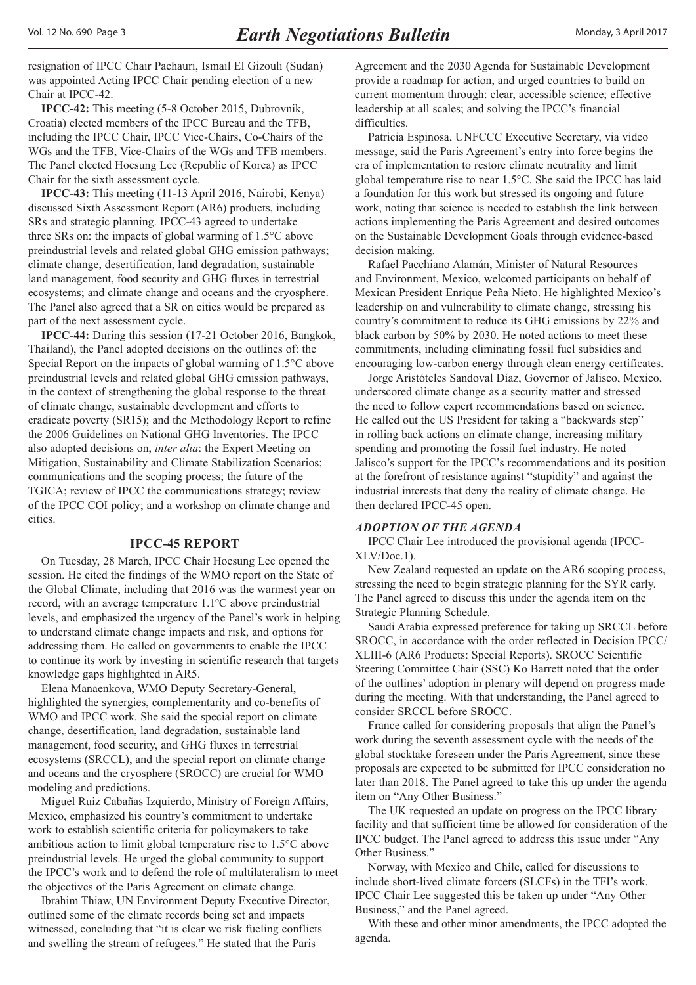<span id="page-2-0"></span>resignation of IPCC Chair Pachauri, Ismail El Gizouli (Sudan) was appointed Acting IPCC Chair pending election of a new Chair at IPCC-42.

**IPCC-42:** This meeting (5-8 October 2015, Dubrovnik, Croatia) elected members of the IPCC Bureau and the TFB, including the IPCC Chair, IPCC Vice-Chairs, Co-Chairs of the WGs and the TFB, Vice-Chairs of the WGs and TFB members. The Panel elected Hoesung Lee (Republic of Korea) as IPCC Chair for the sixth assessment cycle.

**IPCC-43:** This meeting (11-13 April 2016, Nairobi, Kenya) discussed Sixth Assessment Report (AR6) products, including SRs and strategic planning. IPCC-43 agreed to undertake three SRs on: the impacts of global warming of 1.5°C above preindustrial levels and related global GHG emission pathways; climate change, desertification, land degradation, sustainable land management, food security and GHG fluxes in terrestrial ecosystems; and climate change and oceans and the cryosphere. The Panel also agreed that a SR on cities would be prepared as part of the next assessment cycle.

**IPCC-44:** During this session (17-21 October 2016, Bangkok, Thailand), the Panel adopted decisions on the outlines of: the Special Report on the impacts of global warming of 1.5°C above preindustrial levels and related global GHG emission pathways, in the context of strengthening the global response to the threat of climate change, sustainable development and efforts to eradicate poverty (SR15); and the Methodology Report to refine the 2006 Guidelines on National GHG Inventories. The IPCC also adopted decisions on, *inter alia*: the Expert Meeting on Mitigation, Sustainability and Climate Stabilization Scenarios; communications and the scoping process; the future of the TGICA; review of IPCC the communications strategy; review of the IPCC COI policy; and a workshop on climate change and cities.

#### **IPCC-45 REPORT**

On Tuesday, 28 March, IPCC Chair Hoesung Lee opened the session. He cited the findings of the WMO report on the State of the Global Climate, including that 2016 was the warmest year on record, with an average temperature 1.1ºC above preindustrial levels, and emphasized the urgency of the Panel's work in helping to understand climate change impacts and risk, and options for addressing them. He called on governments to enable the IPCC to continue its work by investing in scientific research that targets knowledge gaps highlighted in AR5.

Elena Manaenkova, WMO Deputy Secretary-General, highlighted the synergies, complementarity and co-benefits of WMO and IPCC work. She said the special report on climate change, desertification, land degradation, sustainable land management, food security, and GHG fluxes in terrestrial ecosystems (SRCCL), and the special report on climate change and oceans and the cryosphere (SROCC) are crucial for WMO modeling and predictions.

Miguel Ruiz Cabañas Izquierdo, Ministry of Foreign Affairs, Mexico, emphasized his country's commitment to undertake work to establish scientific criteria for policymakers to take ambitious action to limit global temperature rise to 1.5°C above preindustrial levels. He urged the global community to support the IPCC's work and to defend the role of multilateralism to meet the objectives of the Paris Agreement on climate change.

Ibrahim Thiaw, UN Environment Deputy Executive Director, outlined some of the climate records being set and impacts witnessed, concluding that "it is clear we risk fueling conflicts and swelling the stream of refugees." He stated that the Paris

Agreement and the 2030 Agenda for Sustainable Development provide a roadmap for action, and urged countries to build on current momentum through: clear, accessible science; effective leadership at all scales; and solving the IPCC's financial difficulties.

Patricia Espinosa, UNFCCC Executive Secretary, via video message, said the Paris Agreement's entry into force begins the era of implementation to restore climate neutrality and limit global temperature rise to near 1.5°C. She said the IPCC has laid a foundation for this work but stressed its ongoing and future work, noting that science is needed to establish the link between actions implementing the Paris Agreement and desired outcomes on the Sustainable Development Goals through evidence-based decision making.

Rafael Pacchiano Alamán, Minister of Natural Resources and Environment, Mexico, welcomed participants on behalf of Mexican President Enrique Peña Nieto. He highlighted Mexico's leadership on and vulnerability to climate change, stressing his country's commitment to reduce its GHG emissions by 22% and black carbon by 50% by 2030. He noted actions to meet these commitments, including eliminating fossil fuel subsidies and encouraging low-carbon energy through clean energy certificates.

Jorge Aristóteles Sandoval Díaz, Governor of Jalisco, Mexico, underscored climate change as a security matter and stressed the need to follow expert recommendations based on science. He called out the US President for taking a "backwards step" in rolling back actions on climate change, increasing military spending and promoting the fossil fuel industry. He noted Jalisco's support for the IPCC's recommendations and its position at the forefront of resistance against "stupidity" and against the industrial interests that deny the reality of climate change. He then declared IPCC-45 open.

#### *ADOPTION OF THE AGENDA*

IPCC Chair Lee introduced the provisional agenda (IPCC-XLV/Doc.1).

New Zealand requested an update on the AR6 scoping process, stressing the need to begin strategic planning for the SYR early. The Panel agreed to discuss this under the agenda item on the Strategic Planning Schedule.

Saudi Arabia expressed preference for taking up SRCCL before SROCC, in accordance with the order reflected in Decision IPCC/ XLIII-6 (AR6 Products: Special Reports). SROCC Scientific Steering Committee Chair (SSC) Ko Barrett noted that the order of the outlines' adoption in plenary will depend on progress made during the meeting. With that understanding, the Panel agreed to consider SRCCL before SROCC.

France called for considering proposals that align the Panel's work during the seventh assessment cycle with the needs of the global stocktake foreseen under the Paris Agreement, since these proposals are expected to be submitted for IPCC consideration no later than 2018. The Panel agreed to take this up under the agenda item on "Any Other Business."

The UK requested an update on progress on the IPCC library facility and that sufficient time be allowed for consideration of the IPCC budget. The Panel agreed to address this issue under "Any Other Business."

Norway, with Mexico and Chile, called for discussions to include short-lived climate forcers (SLCFs) in the TFI's work. IPCC Chair Lee suggested this be taken up under "Any Other Business," and the Panel agreed.

With these and other minor amendments, the IPCC adopted the agenda.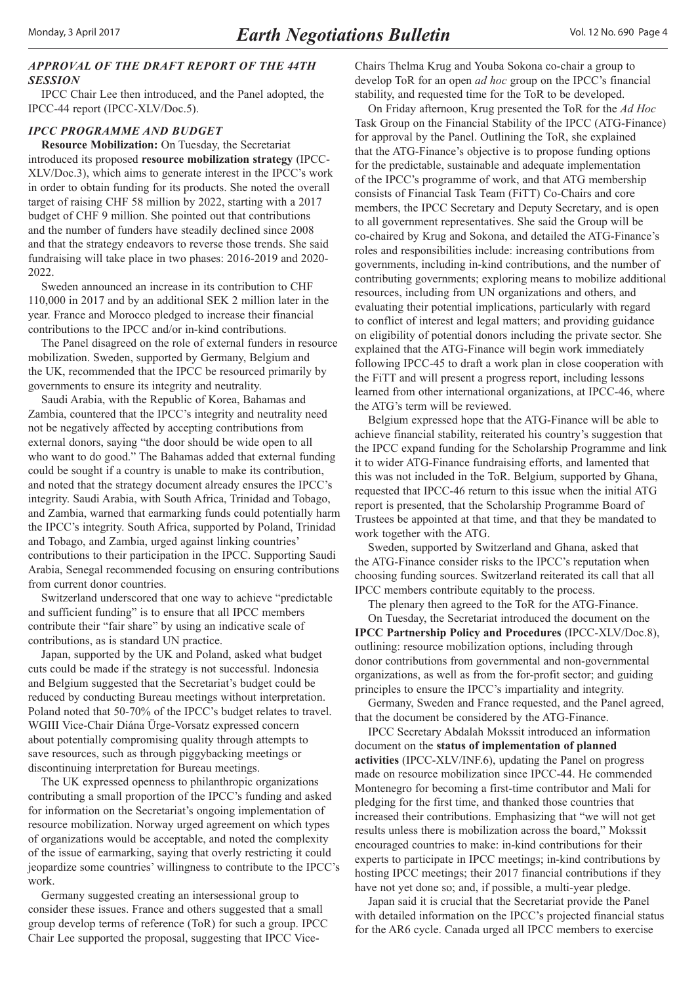## <span id="page-3-0"></span>*APPROVAL OF THE DRAFT REPORT OF THE 44TH SESSION*

IPCC Chair Lee then introduced, and the Panel adopted, the IPCC-44 report (IPCC-XLV/Doc.5).

#### *IPCC PROGRAMME AND BUDGET*

**Resource Mobilization:** On Tuesday, the Secretariat introduced its proposed **resource mobilization strategy** (IPCC-XLV/Doc.3), which aims to generate interest in the IPCC's work in order to obtain funding for its products. She noted the overall target of raising CHF 58 million by 2022, starting with a 2017 budget of CHF 9 million. She pointed out that contributions and the number of funders have steadily declined since 2008 and that the strategy endeavors to reverse those trends. She said fundraising will take place in two phases: 2016-2019 and 2020- 2022.

Sweden announced an increase in its contribution to CHF 110,000 in 2017 and by an additional SEK 2 million later in the year. France and Morocco pledged to increase their financial contributions to the IPCC and/or in-kind contributions.

The Panel disagreed on the role of external funders in resource mobilization. Sweden, supported by Germany, Belgium and the UK, recommended that the IPCC be resourced primarily by governments to ensure its integrity and neutrality.

Saudi Arabia, with the Republic of Korea, Bahamas and Zambia, countered that the IPCC's integrity and neutrality need not be negatively affected by accepting contributions from external donors, saying "the door should be wide open to all who want to do good." The Bahamas added that external funding could be sought if a country is unable to make its contribution, and noted that the strategy document already ensures the IPCC's integrity. Saudi Arabia, with South Africa, Trinidad and Tobago, and Zambia, warned that earmarking funds could potentially harm the IPCC's integrity. South Africa, supported by Poland, Trinidad and Tobago, and Zambia, urged against linking countries' contributions to their participation in the IPCC. Supporting Saudi Arabia, Senegal recommended focusing on ensuring contributions from current donor countries.

Switzerland underscored that one way to achieve "predictable and sufficient funding" is to ensure that all IPCC members contribute their "fair share" by using an indicative scale of contributions, as is standard UN practice.

Japan, supported by the UK and Poland, asked what budget cuts could be made if the strategy is not successful. Indonesia and Belgium suggested that the Secretariat's budget could be reduced by conducting Bureau meetings without interpretation. Poland noted that 50-70% of the IPCC's budget relates to travel. WGIII Vice-Chair Diána Ürge-Vorsatz expressed concern about potentially compromising quality through attempts to save resources, such as through piggybacking meetings or discontinuing interpretation for Bureau meetings.

The UK expressed openness to philanthropic organizations contributing a small proportion of the IPCC's funding and asked for information on the Secretariat's ongoing implementation of resource mobilization. Norway urged agreement on which types of organizations would be acceptable, and noted the complexity of the issue of earmarking, saying that overly restricting it could jeopardize some countries' willingness to contribute to the IPCC's work.

Germany suggested creating an intersessional group to consider these issues. France and others suggested that a small group develop terms of reference (ToR) for such a group. IPCC Chair Lee supported the proposal, suggesting that IPCC ViceChairs Thelma Krug and Youba Sokona co-chair a group to develop ToR for an open *ad hoc* group on the IPCC's financial stability, and requested time for the ToR to be developed.

On Friday afternoon, Krug presented the ToR for the *Ad Hoc* Task Group on the Financial Stability of the IPCC (ATG-Finance) for approval by the Panel. Outlining the ToR, she explained that the ATG-Finance's objective is to propose funding options for the predictable, sustainable and adequate implementation of the IPCC's programme of work, and that ATG membership consists of Financial Task Team (FiTT) Co-Chairs and core members, the IPCC Secretary and Deputy Secretary, and is open to all government representatives. She said the Group will be co-chaired by Krug and Sokona, and detailed the ATG-Finance's roles and responsibilities include: increasing contributions from governments, including in-kind contributions, and the number of contributing governments; exploring means to mobilize additional resources, including from UN organizations and others, and evaluating their potential implications, particularly with regard to conflict of interest and legal matters; and providing guidance on eligibility of potential donors including the private sector. She explained that the ATG-Finance will begin work immediately following IPCC-45 to draft a work plan in close cooperation with the FiTT and will present a progress report, including lessons learned from other international organizations, at IPCC-46, where the ATG's term will be reviewed.

Belgium expressed hope that the ATG-Finance will be able to achieve financial stability, reiterated his country's suggestion that the IPCC expand funding for the Scholarship Programme and link it to wider ATG-Finance fundraising efforts, and lamented that this was not included in the ToR. Belgium, supported by Ghana, requested that IPCC-46 return to this issue when the initial ATG report is presented, that the Scholarship Programme Board of Trustees be appointed at that time, and that they be mandated to work together with the ATG.

Sweden, supported by Switzerland and Ghana, asked that the ATG-Finance consider risks to the IPCC's reputation when choosing funding sources. Switzerland reiterated its call that all IPCC members contribute equitably to the process.

The plenary then agreed to the ToR for the ATG-Finance.

On Tuesday, the Secretariat introduced the document on the **IPCC Partnership Policy and Procedures** (IPCC-XLV/Doc.8), outlining: resource mobilization options, including through donor contributions from governmental and non-governmental organizations, as well as from the for-profit sector; and guiding principles to ensure the IPCC's impartiality and integrity.

Germany, Sweden and France requested, and the Panel agreed, that the document be considered by the ATG-Finance.

IPCC Secretary Abdalah Mokssit introduced an information document on the **status of implementation of planned activities** (IPCC-XLV/INF.6), updating the Panel on progress made on resource mobilization since IPCC-44. He commended Montenegro for becoming a first-time contributor and Mali for pledging for the first time, and thanked those countries that increased their contributions. Emphasizing that "we will not get results unless there is mobilization across the board," Mokssit encouraged countries to make: in-kind contributions for their experts to participate in IPCC meetings; in-kind contributions by hosting IPCC meetings; their 2017 financial contributions if they have not yet done so; and, if possible, a multi-year pledge.

Japan said it is crucial that the Secretariat provide the Panel with detailed information on the IPCC's projected financial status for the AR6 cycle. Canada urged all IPCC members to exercise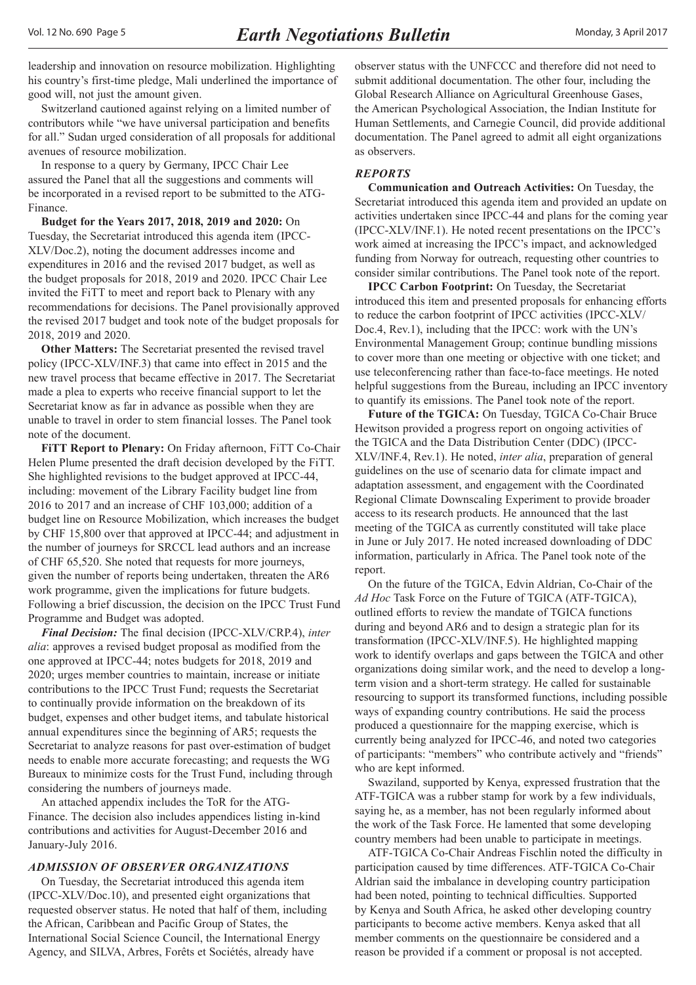<span id="page-4-0"></span>leadership and innovation on resource mobilization. Highlighting his country's first-time pledge, Mali underlined the importance of good will, not just the amount given.

Switzerland cautioned against relying on a limited number of contributors while "we have universal participation and benefits for all." Sudan urged consideration of all proposals for additional avenues of resource mobilization.

In response to a query by Germany, IPCC Chair Lee assured the Panel that all the suggestions and comments will be incorporated in a revised report to be submitted to the ATG-Finance.

**Budget for the Years 2017, 2018, 2019 and 2020:** On Tuesday, the Secretariat introduced this agenda item (IPCC-XLV/Doc.2), noting the document addresses income and expenditures in 2016 and the revised 2017 budget, as well as the budget proposals for 2018, 2019 and 2020. IPCC Chair Lee invited the FiTT to meet and report back to Plenary with any recommendations for decisions. The Panel provisionally approved the revised 2017 budget and took note of the budget proposals for 2018, 2019 and 2020.

**Other Matters:** The Secretariat presented the revised travel policy (IPCC-XLV/INF.3) that came into effect in 2015 and the new travel process that became effective in 2017. The Secretariat made a plea to experts who receive financial support to let the Secretariat know as far in advance as possible when they are unable to travel in order to stem financial losses. The Panel took note of the document.

**FiTT Report to Plenary:** On Friday afternoon, FiTT Co-Chair Helen Plume presented the draft decision developed by the FiTT. She highlighted revisions to the budget approved at IPCC-44, including: movement of the Library Facility budget line from 2016 to 2017 and an increase of CHF 103,000; addition of a budget line on Resource Mobilization, which increases the budget by CHF 15,800 over that approved at IPCC-44; and adjustment in the number of journeys for SRCCL lead authors and an increase of CHF 65,520. She noted that requests for more journeys, given the number of reports being undertaken, threaten the AR6 work programme, given the implications for future budgets. Following a brief discussion, the decision on the IPCC Trust Fund Programme and Budget was adopted.

*Final Decision:* The final decision (IPCC-XLV/CRP.4), *inter alia*: approves a revised budget proposal as modified from the one approved at IPCC-44; notes budgets for 2018, 2019 and 2020; urges member countries to maintain, increase or initiate contributions to the IPCC Trust Fund; requests the Secretariat to continually provide information on the breakdown of its budget, expenses and other budget items, and tabulate historical annual expenditures since the beginning of AR5; requests the Secretariat to analyze reasons for past over-estimation of budget needs to enable more accurate forecasting; and requests the WG Bureaux to minimize costs for the Trust Fund, including through considering the numbers of journeys made.

An attached appendix includes the ToR for the ATG-Finance. The decision also includes appendices listing in-kind contributions and activities for August-December 2016 and January-July 2016.

#### *ADMISSION OF OBSERVER ORGANIZATIONS*

On Tuesday, the Secretariat introduced this agenda item (IPCC-XLV/Doc.10), and presented eight organizations that requested observer status. He noted that half of them, including the African, Caribbean and Pacific Group of States, the International Social Science Council, the International Energy Agency, and SILVA, Arbres, Forêts et Sociétés, already have

observer status with the UNFCCC and therefore did not need to submit additional documentation. The other four, including the Global Research Alliance on Agricultural Greenhouse Gases, the American Psychological Association, the Indian Institute for Human Settlements, and Carnegie Council, did provide additional documentation. The Panel agreed to admit all eight organizations as observers.

#### *REPORTS*

**Communication and Outreach Activities:** On Tuesday, the Secretariat introduced this agenda item and provided an update on activities undertaken since IPCC-44 and plans for the coming year (IPCC-XLV/INF.1). He noted recent presentations on the IPCC's work aimed at increasing the IPCC's impact, and acknowledged funding from Norway for outreach, requesting other countries to consider similar contributions. The Panel took note of the report.

**IPCC Carbon Footprint:** On Tuesday, the Secretariat introduced this item and presented proposals for enhancing efforts to reduce the carbon footprint of IPCC activities (IPCC-XLV/ Doc.4, Rev.1), including that the IPCC: work with the UN's Environmental Management Group; continue bundling missions to cover more than one meeting or objective with one ticket; and use teleconferencing rather than face-to-face meetings. He noted helpful suggestions from the Bureau, including an IPCC inventory to quantify its emissions. The Panel took note of the report.

**Future of the TGICA:** On Tuesday, TGICA Co-Chair Bruce Hewitson provided a progress report on ongoing activities of the TGICA and the Data Distribution Center (DDC) (IPCC-XLV/INF.4, Rev.1). He noted, *inter alia*, preparation of general guidelines on the use of scenario data for climate impact and adaptation assessment, and engagement with the Coordinated Regional Climate Downscaling Experiment to provide broader access to its research products. He announced that the last meeting of the TGICA as currently constituted will take place in June or July 2017. He noted increased downloading of DDC information, particularly in Africa. The Panel took note of the report.

On the future of the TGICA, Edvin Aldrian, Co-Chair of the *Ad Hoc* Task Force on the Future of TGICA (ATF-TGICA), outlined efforts to review the mandate of TGICA functions during and beyond AR6 and to design a strategic plan for its transformation (IPCC-XLV/INF.5). He highlighted mapping work to identify overlaps and gaps between the TGICA and other organizations doing similar work, and the need to develop a longterm vision and a short-term strategy. He called for sustainable resourcing to support its transformed functions, including possible ways of expanding country contributions. He said the process produced a questionnaire for the mapping exercise, which is currently being analyzed for IPCC-46, and noted two categories of participants: "members" who contribute actively and "friends" who are kept informed.

Swaziland, supported by Kenya, expressed frustration that the ATF-TGICA was a rubber stamp for work by a few individuals, saying he, as a member, has not been regularly informed about the work of the Task Force. He lamented that some developing country members had been unable to participate in meetings.

ATF-TGICA Co-Chair Andreas Fischlin noted the difficulty in participation caused by time differences. ATF-TGICA Co-Chair Aldrian said the imbalance in developing country participation had been noted, pointing to technical difficulties. Supported by Kenya and South Africa, he asked other developing country participants to become active members. Kenya asked that all member comments on the questionnaire be considered and a reason be provided if a comment or proposal is not accepted.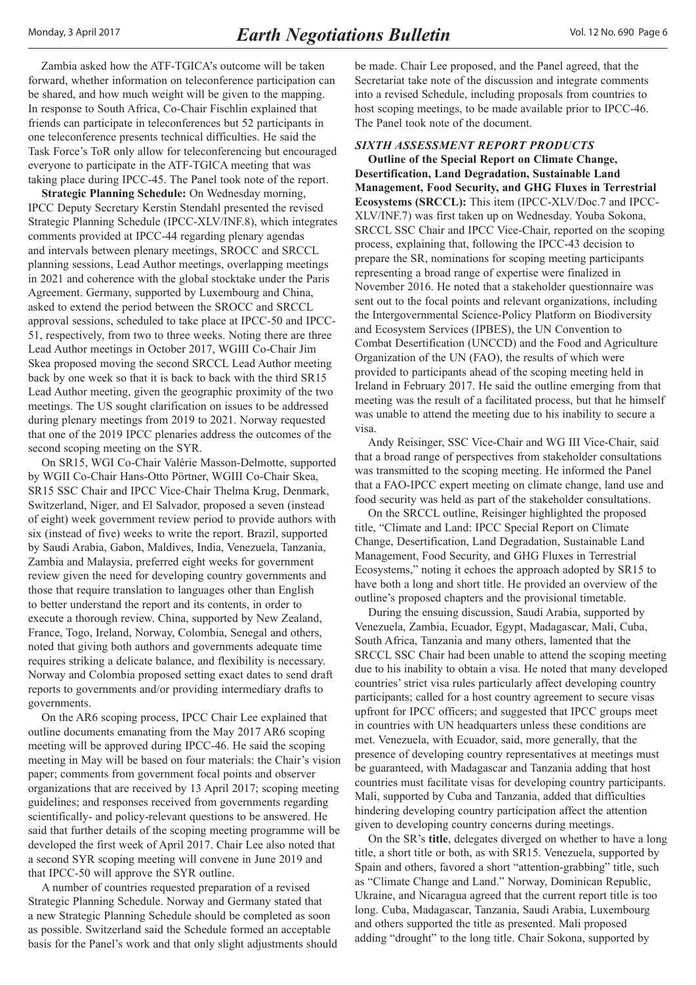<span id="page-5-0"></span>Zambia asked how the ATF-TGICA's outcome will be taken forward, whether information on teleconference participation can be shared, and how much weight will be given to the mapping. In response to South Africa, Co-Chair Fischlin explained that friends can participate in teleconferences but 52 participants in one teleconference presents technical difficulties. He said the Task Force's ToR only allow for teleconferencing but encouraged everyone to participate in the ATF-TGICA meeting that was taking place during IPCC-45. The Panel took note of the report.

**Strategic Planning Schedule:** On Wednesday morning, IPCC Deputy Secretary Kerstin Stendahl presented the revised Strategic Planning Schedule (IPCC-XLV/INF.8), which integrates comments provided at IPCC-44 regarding plenary agendas and intervals between plenary meetings, SROCC and SRCCL planning sessions, Lead Author meetings, overlapping meetings in 2021 and coherence with the global stocktake under the Paris Agreement. Germany, supported by Luxembourg and China, asked to extend the period between the SROCC and SRCCL approval sessions, scheduled to take place at IPCC-50 and IPCC-51, respectively, from two to three weeks. Noting there are three Lead Author meetings in October 2017, WGIII Co-Chair Jim Skea proposed moving the second SRCCL Lead Author meeting back by one week so that it is back to back with the third SR15 Lead Author meeting, given the geographic proximity of the two meetings. The US sought clarification on issues to be addressed during plenary meetings from 2019 to 2021. Norway requested that one of the 2019 IPCC plenaries address the outcomes of the second scoping meeting on the SYR.

On SR15, WGI Co-Chair Valérie Masson-Delmotte, supported by WGII Co-Chair Hans-Otto Pörtner, WGIII Co-Chair Skea, SR15 SSC Chair and IPCC Vice-Chair Thelma Krug, Denmark, Switzerland, Niger, and El Salvador, proposed a seven (instead of eight) week government review period to provide authors with six (instead of five) weeks to write the report. Brazil, supported by Saudi Arabia, Gabon, Maldives, India, Venezuela, Tanzania, Zambia and Malaysia, preferred eight weeks for government review given the need for developing country governments and those that require translation to languages other than English to better understand the report and its contents, in order to execute a thorough review. China, supported by New Zealand, France, Togo, Ireland, Norway, Colombia, Senegal and others, noted that giving both authors and governments adequate time requires striking a delicate balance, and flexibility is necessary. Norway and Colombia proposed setting exact dates to send draft reports to governments and/or providing intermediary drafts to governments.

On the AR6 scoping process, IPCC Chair Lee explained that outline documents emanating from the May 2017 AR6 scoping meeting will be approved during IPCC-46. He said the scoping meeting in May will be based on four materials: the Chair's vision paper; comments from government focal points and observer organizations that are received by 13 April 2017; scoping meeting guidelines; and responses received from governments regarding scientifically- and policy-relevant questions to be answered. He said that further details of the scoping meeting programme will be developed the first week of April 2017. Chair Lee also noted that a second SYR scoping meeting will convene in June 2019 and that IPCC-50 will approve the SYR outline.

A number of countries requested preparation of a revised Strategic Planning Schedule. Norway and Germany stated that a new Strategic Planning Schedule should be completed as soon as possible. Switzerland said the Schedule formed an acceptable basis for the Panel's work and that only slight adjustments should be made. Chair Lee proposed, and the Panel agreed, that the Secretariat take note of the discussion and integrate comments into a revised Schedule, including proposals from countries to host scoping meetings, to be made available prior to IPCC-46. The Panel took note of the document.

## *SIXTH ASSESSMENT REPORT PRODUCTS*

**Outline of the Special Report on Climate Change, Desertification, Land Degradation, Sustainable Land Management, Food Security, and GHG Fluxes in Terrestrial Ecosystems (SRCCL):** This item (IPCC-XLV/Doc.7 and IPCC-XLV/INF.7) was first taken up on Wednesday. Youba Sokona, SRCCL SSC Chair and IPCC Vice-Chair, reported on the scoping process, explaining that, following the IPCC-43 decision to prepare the SR, nominations for scoping meeting participants representing a broad range of expertise were finalized in November 2016. He noted that a stakeholder questionnaire was sent out to the focal points and relevant organizations, including the Intergovernmental Science-Policy Platform on Biodiversity and Ecosystem Services (IPBES), the UN Convention to Combat Desertification (UNCCD) and the Food and Agriculture Organization of the UN (FAO), the results of which were provided to participants ahead of the scoping meeting held in Ireland in February 2017. He said the outline emerging from that meeting was the result of a facilitated process, but that he himself was unable to attend the meeting due to his inability to secure a visa.

Andy Reisinger, SSC Vice-Chair and WG III Vice-Chair, said that a broad range of perspectives from stakeholder consultations was transmitted to the scoping meeting. He informed the Panel that a FAO-IPCC expert meeting on climate change, land use and food security was held as part of the stakeholder consultations.

On the SRCCL outline, Reisinger highlighted the proposed title, "Climate and Land: IPCC Special Report on Climate Change, Desertification, Land Degradation, Sustainable Land Management, Food Security, and GHG Fluxes in Terrestrial Ecosystems," noting it echoes the approach adopted by SR15 to have both a long and short title. He provided an overview of the outline's proposed chapters and the provisional timetable.

During the ensuing discussion, Saudi Arabia, supported by Venezuela, Zambia, Ecuador, Egypt, Madagascar, Mali, Cuba, South Africa, Tanzania and many others, lamented that the SRCCL SSC Chair had been unable to attend the scoping meeting due to his inability to obtain a visa. He noted that many developed countries' strict visa rules particularly affect developing country participants; called for a host country agreement to secure visas upfront for IPCC officers; and suggested that IPCC groups meet in countries with UN headquarters unless these conditions are met. Venezuela, with Ecuador, said, more generally, that the presence of developing country representatives at meetings must be guaranteed, with Madagascar and Tanzania adding that host countries must facilitate visas for developing country participants. Mali, supported by Cuba and Tanzania, added that difficulties hindering developing country participation affect the attention given to developing country concerns during meetings.

On the SR's **title**, delegates diverged on whether to have a long title, a short title or both, as with SR15. Venezuela, supported by Spain and others, favored a short "attention-grabbing" title, such as "Climate Change and Land." Norway, Dominican Republic, Ukraine, and Nicaragua agreed that the current report title is too long. Cuba, Madagascar, Tanzania, Saudi Arabia, Luxembourg and others supported the title as presented. Mali proposed adding "drought" to the long title. Chair Sokona, supported by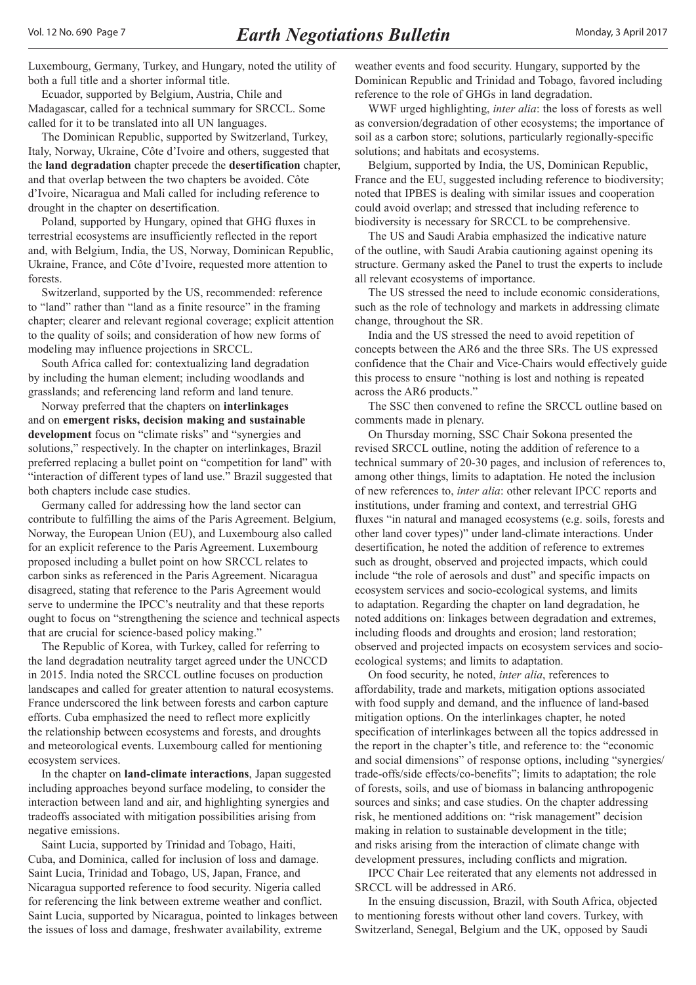Luxembourg, Germany, Turkey, and Hungary, noted the utility of both a full title and a shorter informal title.

Ecuador, supported by Belgium, Austria, Chile and Madagascar, called for a technical summary for SRCCL. Some called for it to be translated into all UN languages.

The Dominican Republic, supported by Switzerland, Turkey, Italy, Norway, Ukraine, Côte d'Ivoire and others, suggested that the **land degradation** chapter precede the **desertification** chapter, and that overlap between the two chapters be avoided. Côte d'Ivoire, Nicaragua and Mali called for including reference to drought in the chapter on desertification.

Poland, supported by Hungary, opined that GHG fluxes in terrestrial ecosystems are insufficiently reflected in the report and, with Belgium, India, the US, Norway, Dominican Republic, Ukraine, France, and Côte d'Ivoire, requested more attention to forests.

Switzerland, supported by the US, recommended: reference to "land" rather than "land as a finite resource" in the framing chapter; clearer and relevant regional coverage; explicit attention to the quality of soils; and consideration of how new forms of modeling may influence projections in SRCCL.

South Africa called for: contextualizing land degradation by including the human element; including woodlands and grasslands; and referencing land reform and land tenure.

Norway preferred that the chapters on **interlinkages** and on **emergent risks, decision making and sustainable development** focus on "climate risks" and "synergies and solutions," respectively. In the chapter on interlinkages, Brazil preferred replacing a bullet point on "competition for land" with "interaction of different types of land use." Brazil suggested that both chapters include case studies.

Germany called for addressing how the land sector can contribute to fulfilling the aims of the Paris Agreement. Belgium, Norway, the European Union (EU), and Luxembourg also called for an explicit reference to the Paris Agreement. Luxembourg proposed including a bullet point on how SRCCL relates to carbon sinks as referenced in the Paris Agreement. Nicaragua disagreed, stating that reference to the Paris Agreement would serve to undermine the IPCC's neutrality and that these reports ought to focus on "strengthening the science and technical aspects that are crucial for science-based policy making."

The Republic of Korea, with Turkey, called for referring to the land degradation neutrality target agreed under the UNCCD in 2015. India noted the SRCCL outline focuses on production landscapes and called for greater attention to natural ecosystems. France underscored the link between forests and carbon capture efforts. Cuba emphasized the need to reflect more explicitly the relationship between ecosystems and forests, and droughts and meteorological events. Luxembourg called for mentioning ecosystem services.

In the chapter on **land-climate interactions**, Japan suggested including approaches beyond surface modeling, to consider the interaction between land and air, and highlighting synergies and tradeoffs associated with mitigation possibilities arising from negative emissions.

Saint Lucia, supported by Trinidad and Tobago, Haiti, Cuba, and Dominica, called for inclusion of loss and damage. Saint Lucia, Trinidad and Tobago, US, Japan, France, and Nicaragua supported reference to food security. Nigeria called for referencing the link between extreme weather and conflict. Saint Lucia, supported by Nicaragua, pointed to linkages between the issues of loss and damage, freshwater availability, extreme

weather events and food security. Hungary, supported by the Dominican Republic and Trinidad and Tobago, favored including reference to the role of GHGs in land degradation.

WWF urged highlighting, *inter alia*: the loss of forests as well as conversion/degradation of other ecosystems; the importance of soil as a carbon store; solutions, particularly regionally-specific solutions; and habitats and ecosystems.

Belgium, supported by India, the US, Dominican Republic, France and the EU, suggested including reference to biodiversity; noted that IPBES is dealing with similar issues and cooperation could avoid overlap; and stressed that including reference to biodiversity is necessary for SRCCL to be comprehensive.

The US and Saudi Arabia emphasized the indicative nature of the outline, with Saudi Arabia cautioning against opening its structure. Germany asked the Panel to trust the experts to include all relevant ecosystems of importance.

The US stressed the need to include economic considerations, such as the role of technology and markets in addressing climate change, throughout the SR.

India and the US stressed the need to avoid repetition of concepts between the AR6 and the three SRs. The US expressed confidence that the Chair and Vice-Chairs would effectively guide this process to ensure "nothing is lost and nothing is repeated across the AR6 products."

The SSC then convened to refine the SRCCL outline based on comments made in plenary.

On Thursday morning, SSC Chair Sokona presented the revised SRCCL outline, noting the addition of reference to a technical summary of 20-30 pages, and inclusion of references to, among other things, limits to adaptation. He noted the inclusion of new references to, *inter alia*: other relevant IPCC reports and institutions, under framing and context, and terrestrial GHG fluxes "in natural and managed ecosystems (e.g. soils, forests and other land cover types)" under land-climate interactions. Under desertification, he noted the addition of reference to extremes such as drought, observed and projected impacts, which could include "the role of aerosols and dust" and specific impacts on ecosystem services and socio-ecological systems, and limits to adaptation. Regarding the chapter on land degradation, he noted additions on: linkages between degradation and extremes, including floods and droughts and erosion; land restoration; observed and projected impacts on ecosystem services and socioecological systems; and limits to adaptation.

On food security, he noted, *inter alia*, references to affordability, trade and markets, mitigation options associated with food supply and demand, and the influence of land-based mitigation options. On the interlinkages chapter, he noted specification of interlinkages between all the topics addressed in the report in the chapter's title, and reference to: the "economic and social dimensions" of response options, including "synergies/ trade-offs/side effects/co-benefits"; limits to adaptation; the role of forests, soils, and use of biomass in balancing anthropogenic sources and sinks; and case studies. On the chapter addressing risk, he mentioned additions on: "risk management" decision making in relation to sustainable development in the title; and risks arising from the interaction of climate change with development pressures, including conflicts and migration.

IPCC Chair Lee reiterated that any elements not addressed in SRCCL will be addressed in AR6.

In the ensuing discussion, Brazil, with South Africa, objected to mentioning forests without other land covers. Turkey, with Switzerland, Senegal, Belgium and the UK, opposed by Saudi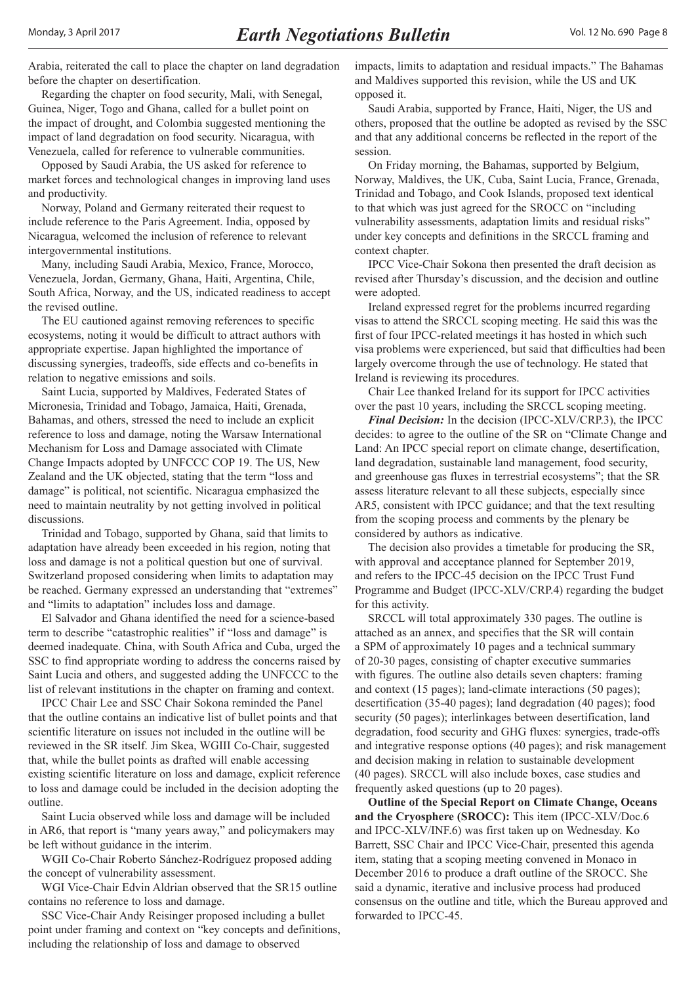Arabia, reiterated the call to place the chapter on land degradation before the chapter on desertification.

Regarding the chapter on food security, Mali, with Senegal, Guinea, Niger, Togo and Ghana, called for a bullet point on the impact of drought, and Colombia suggested mentioning the impact of land degradation on food security. Nicaragua, with Venezuela, called for reference to vulnerable communities.

Opposed by Saudi Arabia, the US asked for reference to market forces and technological changes in improving land uses and productivity.

Norway, Poland and Germany reiterated their request to include reference to the Paris Agreement. India, opposed by Nicaragua, welcomed the inclusion of reference to relevant intergovernmental institutions.

Many, including Saudi Arabia, Mexico, France, Morocco, Venezuela, Jordan, Germany, Ghana, Haiti, Argentina, Chile, South Africa, Norway, and the US, indicated readiness to accept the revised outline.

The EU cautioned against removing references to specific ecosystems, noting it would be difficult to attract authors with appropriate expertise. Japan highlighted the importance of discussing synergies, tradeoffs, side effects and co-benefits in relation to negative emissions and soils.

Saint Lucia, supported by Maldives, Federated States of Micronesia, Trinidad and Tobago, Jamaica, Haiti, Grenada, Bahamas, and others, stressed the need to include an explicit reference to loss and damage, noting the Warsaw International Mechanism for Loss and Damage associated with Climate Change Impacts adopted by UNFCCC COP 19. The US, New Zealand and the UK objected, stating that the term "loss and damage" is political, not scientific. Nicaragua emphasized the need to maintain neutrality by not getting involved in political discussions.

Trinidad and Tobago, supported by Ghana, said that limits to adaptation have already been exceeded in his region, noting that loss and damage is not a political question but one of survival. Switzerland proposed considering when limits to adaptation may be reached. Germany expressed an understanding that "extremes" and "limits to adaptation" includes loss and damage.

El Salvador and Ghana identified the need for a science-based term to describe "catastrophic realities" if "loss and damage" is deemed inadequate. China, with South Africa and Cuba, urged the SSC to find appropriate wording to address the concerns raised by Saint Lucia and others, and suggested adding the UNFCCC to the list of relevant institutions in the chapter on framing and context.

IPCC Chair Lee and SSC Chair Sokona reminded the Panel that the outline contains an indicative list of bullet points and that scientific literature on issues not included in the outline will be reviewed in the SR itself. Jim Skea, WGIII Co-Chair, suggested that, while the bullet points as drafted will enable accessing existing scientific literature on loss and damage, explicit reference to loss and damage could be included in the decision adopting the outline.

Saint Lucia observed while loss and damage will be included in AR6, that report is "many years away," and policymakers may be left without guidance in the interim.

WGII Co-Chair Roberto Sánchez-Rodríguez proposed adding the concept of vulnerability assessment.

WGI Vice-Chair Edvin Aldrian observed that the SR15 outline contains no reference to loss and damage.

SSC Vice-Chair Andy Reisinger proposed including a bullet point under framing and context on "key concepts and definitions, including the relationship of loss and damage to observed

impacts, limits to adaptation and residual impacts." The Bahamas and Maldives supported this revision, while the US and UK opposed it.

Saudi Arabia, supported by France, Haiti, Niger, the US and others, proposed that the outline be adopted as revised by the SSC and that any additional concerns be reflected in the report of the session.

On Friday morning, the Bahamas, supported by Belgium, Norway, Maldives, the UK, Cuba, Saint Lucia, France, Grenada, Trinidad and Tobago, and Cook Islands, proposed text identical to that which was just agreed for the SROCC on "including vulnerability assessments, adaptation limits and residual risks" under key concepts and definitions in the SRCCL framing and context chapter.

IPCC Vice-Chair Sokona then presented the draft decision as revised after Thursday's discussion, and the decision and outline were adopted.

Ireland expressed regret for the problems incurred regarding visas to attend the SRCCL scoping meeting. He said this was the first of four IPCC-related meetings it has hosted in which such visa problems were experienced, but said that difficulties had been largely overcome through the use of technology. He stated that Ireland is reviewing its procedures.

Chair Lee thanked Ireland for its support for IPCC activities over the past 10 years, including the SRCCL scoping meeting.

*Final Decision:* In the decision (IPCC-XLV/CRP.3), the IPCC decides: to agree to the outline of the SR on "Climate Change and Land: An IPCC special report on climate change, desertification, land degradation, sustainable land management, food security, and greenhouse gas fluxes in terrestrial ecosystems"; that the SR assess literature relevant to all these subjects, especially since AR5, consistent with IPCC guidance; and that the text resulting from the scoping process and comments by the plenary be considered by authors as indicative.

The decision also provides a timetable for producing the SR, with approval and acceptance planned for September 2019, and refers to the IPCC-45 decision on the IPCC Trust Fund Programme and Budget (IPCC-XLV/CRP.4) regarding the budget for this activity.

SRCCL will total approximately 330 pages. The outline is attached as an annex, and specifies that the SR will contain a SPM of approximately 10 pages and a technical summary of 20-30 pages, consisting of chapter executive summaries with figures. The outline also details seven chapters: framing and context (15 pages); land-climate interactions (50 pages); desertification (35-40 pages); land degradation (40 pages); food security (50 pages); interlinkages between desertification, land degradation, food security and GHG fluxes: synergies, trade-offs and integrative response options (40 pages); and risk management and decision making in relation to sustainable development (40 pages). SRCCL will also include boxes, case studies and frequently asked questions (up to 20 pages).

**Outline of the Special Report on Climate Change, Oceans and the Cryosphere (SROCC):** This item (IPCC-XLV/Doc.6 and IPCC-XLV/INF.6) was first taken up on Wednesday. Ko Barrett, SSC Chair and IPCC Vice-Chair, presented this agenda item, stating that a scoping meeting convened in Monaco in December 2016 to produce a draft outline of the SROCC. She said a dynamic, iterative and inclusive process had produced consensus on the outline and title, which the Bureau approved and forwarded to IPCC-45.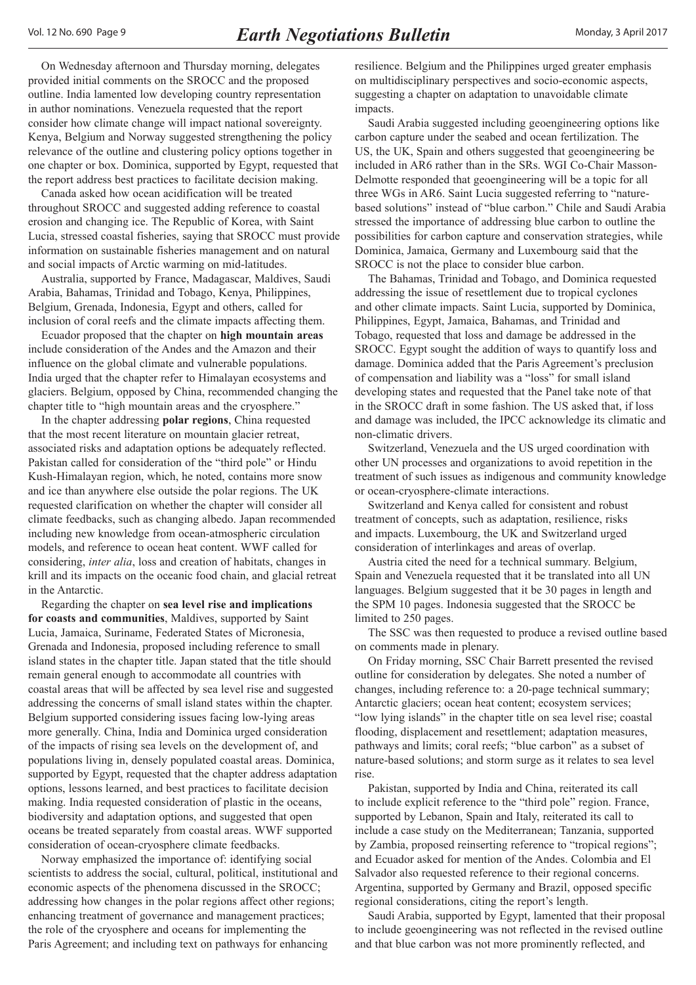On Wednesday afternoon and Thursday morning, delegates provided initial comments on the SROCC and the proposed outline. India lamented low developing country representation in author nominations. Venezuela requested that the report consider how climate change will impact national sovereignty. Kenya, Belgium and Norway suggested strengthening the policy relevance of the outline and clustering policy options together in one chapter or box. Dominica, supported by Egypt, requested that the report address best practices to facilitate decision making.

Canada asked how ocean acidification will be treated throughout SROCC and suggested adding reference to coastal erosion and changing ice. The Republic of Korea, with Saint Lucia, stressed coastal fisheries, saying that SROCC must provide information on sustainable fisheries management and on natural and social impacts of Arctic warming on mid-latitudes.

Australia, supported by France, Madagascar, Maldives, Saudi Arabia, Bahamas, Trinidad and Tobago, Kenya, Philippines, Belgium, Grenada, Indonesia, Egypt and others, called for inclusion of coral reefs and the climate impacts affecting them.

Ecuador proposed that the chapter on **high mountain areas** include consideration of the Andes and the Amazon and their influence on the global climate and vulnerable populations. India urged that the chapter refer to Himalayan ecosystems and glaciers. Belgium, opposed by China, recommended changing the chapter title to "high mountain areas and the cryosphere."

In the chapter addressing **polar regions**, China requested that the most recent literature on mountain glacier retreat, associated risks and adaptation options be adequately reflected. Pakistan called for consideration of the "third pole" or Hindu Kush-Himalayan region, which, he noted, contains more snow and ice than anywhere else outside the polar regions. The UK requested clarification on whether the chapter will consider all climate feedbacks, such as changing albedo. Japan recommended including new knowledge from ocean-atmospheric circulation models, and reference to ocean heat content. WWF called for considering, *inter alia*, loss and creation of habitats, changes in krill and its impacts on the oceanic food chain, and glacial retreat in the Antarctic.

Regarding the chapter on **sea level rise and implications for coasts and communities**, Maldives, supported by Saint Lucia, Jamaica, Suriname, Federated States of Micronesia, Grenada and Indonesia, proposed including reference to small island states in the chapter title. Japan stated that the title should remain general enough to accommodate all countries with coastal areas that will be affected by sea level rise and suggested addressing the concerns of small island states within the chapter. Belgium supported considering issues facing low-lying areas more generally. China, India and Dominica urged consideration of the impacts of rising sea levels on the development of, and populations living in, densely populated coastal areas. Dominica, supported by Egypt, requested that the chapter address adaptation options, lessons learned, and best practices to facilitate decision making. India requested consideration of plastic in the oceans, biodiversity and adaptation options, and suggested that open oceans be treated separately from coastal areas. WWF supported consideration of ocean-cryosphere climate feedbacks.

Norway emphasized the importance of: identifying social scientists to address the social, cultural, political, institutional and economic aspects of the phenomena discussed in the SROCC; addressing how changes in the polar regions affect other regions; enhancing treatment of governance and management practices; the role of the cryosphere and oceans for implementing the Paris Agreement; and including text on pathways for enhancing

resilience. Belgium and the Philippines urged greater emphasis on multidisciplinary perspectives and socio-economic aspects, suggesting a chapter on adaptation to unavoidable climate impacts.

Saudi Arabia suggested including geoengineering options like carbon capture under the seabed and ocean fertilization. The US, the UK, Spain and others suggested that geoengineering be included in AR6 rather than in the SRs. WGI Co-Chair Masson-Delmotte responded that geoengineering will be a topic for all three WGs in AR6. Saint Lucia suggested referring to "naturebased solutions" instead of "blue carbon." Chile and Saudi Arabia stressed the importance of addressing blue carbon to outline the possibilities for carbon capture and conservation strategies, while Dominica, Jamaica, Germany and Luxembourg said that the SROCC is not the place to consider blue carbon.

The Bahamas, Trinidad and Tobago, and Dominica requested addressing the issue of resettlement due to tropical cyclones and other climate impacts. Saint Lucia, supported by Dominica, Philippines, Egypt, Jamaica, Bahamas, and Trinidad and Tobago, requested that loss and damage be addressed in the SROCC. Egypt sought the addition of ways to quantify loss and damage. Dominica added that the Paris Agreement's preclusion of compensation and liability was a "loss" for small island developing states and requested that the Panel take note of that in the SROCC draft in some fashion. The US asked that, if loss and damage was included, the IPCC acknowledge its climatic and non-climatic drivers.

Switzerland, Venezuela and the US urged coordination with other UN processes and organizations to avoid repetition in the treatment of such issues as indigenous and community knowledge or ocean-cryosphere-climate interactions.

Switzerland and Kenya called for consistent and robust treatment of concepts, such as adaptation, resilience, risks and impacts. Luxembourg, the UK and Switzerland urged consideration of interlinkages and areas of overlap.

Austria cited the need for a technical summary. Belgium, Spain and Venezuela requested that it be translated into all UN languages. Belgium suggested that it be 30 pages in length and the SPM 10 pages. Indonesia suggested that the SROCC be limited to 250 pages.

The SSC was then requested to produce a revised outline based on comments made in plenary.

On Friday morning, SSC Chair Barrett presented the revised outline for consideration by delegates. She noted a number of changes, including reference to: a 20-page technical summary; Antarctic glaciers; ocean heat content; ecosystem services; "low lying islands" in the chapter title on sea level rise; coastal flooding, displacement and resettlement; adaptation measures, pathways and limits; coral reefs; "blue carbon" as a subset of nature-based solutions; and storm surge as it relates to sea level rise.

Pakistan, supported by India and China, reiterated its call to include explicit reference to the "third pole" region. France, supported by Lebanon, Spain and Italy, reiterated its call to include a case study on the Mediterranean; Tanzania, supported by Zambia, proposed reinserting reference to "tropical regions"; and Ecuador asked for mention of the Andes. Colombia and El Salvador also requested reference to their regional concerns. Argentina, supported by Germany and Brazil, opposed specific regional considerations, citing the report's length.

Saudi Arabia, supported by Egypt, lamented that their proposal to include geoengineering was not reflected in the revised outline and that blue carbon was not more prominently reflected, and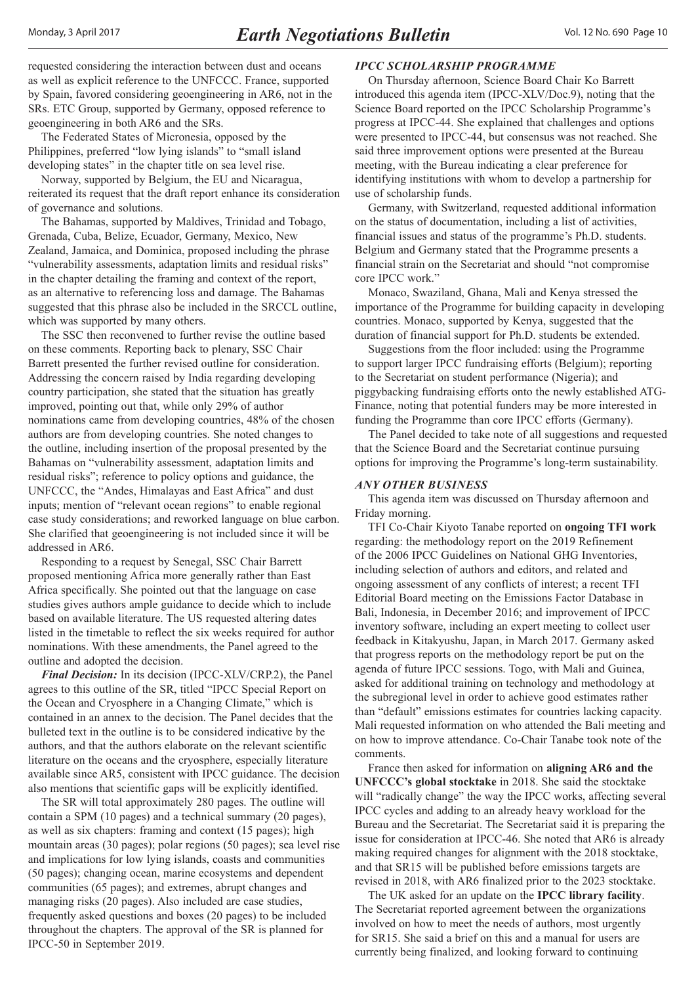<span id="page-9-0"></span>requested considering the interaction between dust and oceans as well as explicit reference to the UNFCCC. France, supported by Spain, favored considering geoengineering in AR6, not in the SRs. ETC Group, supported by Germany, opposed reference to geoengineering in both AR6 and the SRs.

The Federated States of Micronesia, opposed by the Philippines, preferred "low lying islands" to "small island developing states" in the chapter title on sea level rise.

Norway, supported by Belgium, the EU and Nicaragua, reiterated its request that the draft report enhance its consideration of governance and solutions.

The Bahamas, supported by Maldives, Trinidad and Tobago, Grenada, Cuba, Belize, Ecuador, Germany, Mexico, New Zealand, Jamaica, and Dominica, proposed including the phrase "vulnerability assessments, adaptation limits and residual risks" in the chapter detailing the framing and context of the report, as an alternative to referencing loss and damage. The Bahamas suggested that this phrase also be included in the SRCCL outline, which was supported by many others.

The SSC then reconvened to further revise the outline based on these comments. Reporting back to plenary, SSC Chair Barrett presented the further revised outline for consideration. Addressing the concern raised by India regarding developing country participation, she stated that the situation has greatly improved, pointing out that, while only 29% of author nominations came from developing countries, 48% of the chosen authors are from developing countries. She noted changes to the outline, including insertion of the proposal presented by the Bahamas on "vulnerability assessment, adaptation limits and residual risks"; reference to policy options and guidance, the UNFCCC, the "Andes, Himalayas and East Africa" and dust inputs; mention of "relevant ocean regions" to enable regional case study considerations; and reworked language on blue carbon. She clarified that geoengineering is not included since it will be addressed in AR6.

Responding to a request by Senegal, SSC Chair Barrett proposed mentioning Africa more generally rather than East Africa specifically. She pointed out that the language on case studies gives authors ample guidance to decide which to include based on available literature. The US requested altering dates listed in the timetable to reflect the six weeks required for author nominations. With these amendments, the Panel agreed to the outline and adopted the decision.

*Final Decision:* In its decision (IPCC-XLV/CRP.2), the Panel agrees to this outline of the SR, titled "IPCC Special Report on the Ocean and Cryosphere in a Changing Climate," which is contained in an annex to the decision. The Panel decides that the bulleted text in the outline is to be considered indicative by the authors, and that the authors elaborate on the relevant scientific literature on the oceans and the cryosphere, especially literature available since AR5, consistent with IPCC guidance. The decision also mentions that scientific gaps will be explicitly identified.

The SR will total approximately 280 pages. The outline will contain a SPM (10 pages) and a technical summary (20 pages), as well as six chapters: framing and context (15 pages); high mountain areas (30 pages); polar regions (50 pages); sea level rise and implications for low lying islands, coasts and communities (50 pages); changing ocean, marine ecosystems and dependent communities (65 pages); and extremes, abrupt changes and managing risks (20 pages). Also included are case studies, frequently asked questions and boxes (20 pages) to be included throughout the chapters. The approval of the SR is planned for IPCC-50 in September 2019.

#### *IPCC SCHOLARSHIP PROGRAMME*

On Thursday afternoon, Science Board Chair Ko Barrett introduced this agenda item (IPCC-XLV/Doc.9), noting that the Science Board reported on the IPCC Scholarship Programme's progress at IPCC-44. She explained that challenges and options were presented to IPCC-44, but consensus was not reached. She said three improvement options were presented at the Bureau meeting, with the Bureau indicating a clear preference for identifying institutions with whom to develop a partnership for use of scholarship funds.

Germany, with Switzerland, requested additional information on the status of documentation, including a list of activities, financial issues and status of the programme's Ph.D. students. Belgium and Germany stated that the Programme presents a financial strain on the Secretariat and should "not compromise core IPCC work."

Monaco, Swaziland, Ghana, Mali and Kenya stressed the importance of the Programme for building capacity in developing countries. Monaco, supported by Kenya, suggested that the duration of financial support for Ph.D. students be extended.

Suggestions from the floor included: using the Programme to support larger IPCC fundraising efforts (Belgium); reporting to the Secretariat on student performance (Nigeria); and piggybacking fundraising efforts onto the newly established ATG-Finance, noting that potential funders may be more interested in funding the Programme than core IPCC efforts (Germany).

The Panel decided to take note of all suggestions and requested that the Science Board and the Secretariat continue pursuing options for improving the Programme's long-term sustainability.

#### *ANY OTHER BUSINESS*

This agenda item was discussed on Thursday afternoon and Friday morning.

TFI Co-Chair Kiyoto Tanabe reported on **ongoing TFI work** regarding: the methodology report on the 2019 Refinement of the 2006 IPCC Guidelines on National GHG Inventories, including selection of authors and editors, and related and ongoing assessment of any conflicts of interest; a recent TFI Editorial Board meeting on the Emissions Factor Database in Bali, Indonesia, in December 2016; and improvement of IPCC inventory software, including an expert meeting to collect user feedback in Kitakyushu, Japan, in March 2017. Germany asked that progress reports on the methodology report be put on the agenda of future IPCC sessions. Togo, with Mali and Guinea, asked for additional training on technology and methodology at the subregional level in order to achieve good estimates rather than "default" emissions estimates for countries lacking capacity. Mali requested information on who attended the Bali meeting and on how to improve attendance. Co-Chair Tanabe took note of the comments.

France then asked for information on **aligning AR6 and the UNFCCC's global stocktake** in 2018. She said the stocktake will "radically change" the way the IPCC works, affecting several IPCC cycles and adding to an already heavy workload for the Bureau and the Secretariat. The Secretariat said it is preparing the issue for consideration at IPCC-46. She noted that AR6 is already making required changes for alignment with the 2018 stocktake, and that SR15 will be published before emissions targets are revised in 2018, with AR6 finalized prior to the 2023 stocktake.

The UK asked for an update on the **IPCC library facility**. The Secretariat reported agreement between the organizations involved on how to meet the needs of authors, most urgently for SR15. She said a brief on this and a manual for users are currently being finalized, and looking forward to continuing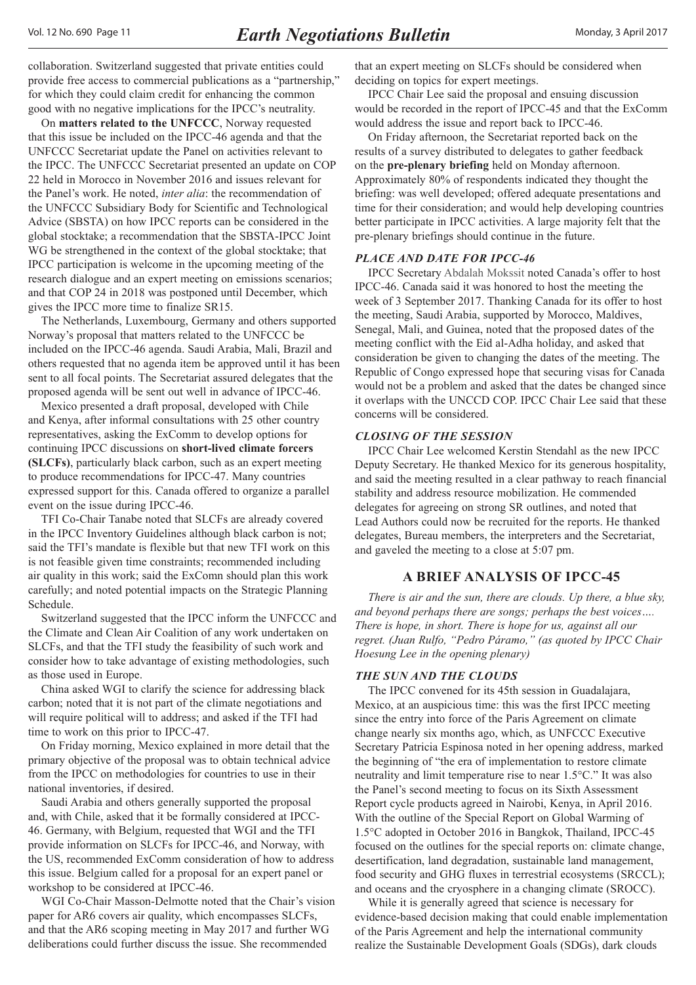<span id="page-10-0"></span>collaboration. Switzerland suggested that private entities could provide free access to commercial publications as a "partnership," for which they could claim credit for enhancing the common good with no negative implications for the IPCC's neutrality.

On **matters related to the UNFCCC**, Norway requested that this issue be included on the IPCC-46 agenda and that the UNFCCC Secretariat update the Panel on activities relevant to the IPCC. The UNFCCC Secretariat presented an update on COP 22 held in Morocco in November 2016 and issues relevant for the Panel's work. He noted, *inter alia*: the recommendation of the UNFCCC Subsidiary Body for Scientific and Technological Advice (SBSTA) on how IPCC reports can be considered in the global stocktake; a recommendation that the SBSTA-IPCC Joint WG be strengthened in the context of the global stocktake; that IPCC participation is welcome in the upcoming meeting of the research dialogue and an expert meeting on emissions scenarios; and that COP 24 in 2018 was postponed until December, which gives the IPCC more time to finalize SR15.

The Netherlands, Luxembourg, Germany and others supported Norway's proposal that matters related to the UNFCCC be included on the IPCC-46 agenda. Saudi Arabia, Mali, Brazil and others requested that no agenda item be approved until it has been sent to all focal points. The Secretariat assured delegates that the proposed agenda will be sent out well in advance of IPCC-46.

Mexico presented a draft proposal, developed with Chile and Kenya, after informal consultations with 25 other country representatives, asking the ExComm to develop options for continuing IPCC discussions on **short-lived climate forcers (SLCFs)**, particularly black carbon, such as an expert meeting to produce recommendations for IPCC-47. Many countries expressed support for this. Canada offered to organize a parallel event on the issue during IPCC-46.

TFI Co-Chair Tanabe noted that SLCFs are already covered in the IPCC Inventory Guidelines although black carbon is not; said the TFI's mandate is flexible but that new TFI work on this is not feasible given time constraints; recommended including air quality in this work; said the ExComn should plan this work carefully; and noted potential impacts on the Strategic Planning Schedule.

Switzerland suggested that the IPCC inform the UNFCCC and the Climate and Clean Air Coalition of any work undertaken on SLCFs, and that the TFI study the feasibility of such work and consider how to take advantage of existing methodologies, such as those used in Europe.

China asked WGI to clarify the science for addressing black carbon; noted that it is not part of the climate negotiations and will require political will to address; and asked if the TFI had time to work on this prior to IPCC-47.

On Friday morning, Mexico explained in more detail that the primary objective of the proposal was to obtain technical advice from the IPCC on methodologies for countries to use in their national inventories, if desired.

Saudi Arabia and others generally supported the proposal and, with Chile, asked that it be formally considered at IPCC-46. Germany, with Belgium, requested that WGI and the TFI provide information on SLCFs for IPCC-46, and Norway, with the US, recommended ExComm consideration of how to address this issue. Belgium called for a proposal for an expert panel or workshop to be considered at IPCC-46.

WGI Co-Chair Masson-Delmotte noted that the Chair's vision paper for AR6 covers air quality, which encompasses SLCFs, and that the AR6 scoping meeting in May 2017 and further WG deliberations could further discuss the issue. She recommended

that an expert meeting on SLCFs should be considered when deciding on topics for expert meetings.

IPCC Chair Lee said the proposal and ensuing discussion would be recorded in the report of IPCC-45 and that the ExComm would address the issue and report back to IPCC-46.

On Friday afternoon, the Secretariat reported back on the results of a survey distributed to delegates to gather feedback on the **pre-plenary briefing** held on Monday afternoon. Approximately 80% of respondents indicated they thought the briefing: was well developed; offered adequate presentations and time for their consideration; and would help developing countries better participate in IPCC activities. A large majority felt that the pre-plenary briefings should continue in the future.

#### *PLACE AND DATE FOR IPCC-46*

IPCC Secretary Abdalah Mokssit noted Canada's offer to host IPCC-46. Canada said it was honored to host the meeting the week of 3 September 2017. Thanking Canada for its offer to host the meeting, Saudi Arabia, supported by Morocco, Maldives, Senegal, Mali, and Guinea, noted that the proposed dates of the meeting conflict with the Eid al-Adha holiday, and asked that consideration be given to changing the dates of the meeting. The Republic of Congo expressed hope that securing visas for Canada would not be a problem and asked that the dates be changed since it overlaps with the UNCCD COP. IPCC Chair Lee said that these concerns will be considered.

#### *CLOSING OF THE SESSION*

IPCC Chair Lee welcomed Kerstin Stendahl as the new IPCC Deputy Secretary. He thanked Mexico for its generous hospitality, and said the meeting resulted in a clear pathway to reach financial stability and address resource mobilization. He commended delegates for agreeing on strong SR outlines, and noted that Lead Authors could now be recruited for the reports. He thanked delegates, Bureau members, the interpreters and the Secretariat, and gaveled the meeting to a close at 5:07 pm.

#### **A BRIEF ANALYSIS OF IPCC-45**

*There is air and the sun, there are clouds. Up there, a blue sky, and beyond perhaps there are songs; perhaps the best voices…. There is hope, in short. There is hope for us, against all our regret. (Juan Rulfo, "Pedro Páramo," (as quoted by IPCC Chair Hoesung Lee in the opening plenary)*

#### *THE SUN AND THE CLOUDS*

The IPCC convened for its 45th session in Guadalajara, Mexico, at an auspicious time: this was the first IPCC meeting since the entry into force of the Paris Agreement on climate change nearly six months ago, which, as UNFCCC Executive Secretary Patricia Espinosa noted in her opening address, marked the beginning of "the era of implementation to restore climate neutrality and limit temperature rise to near 1.5°C." It was also the Panel's second meeting to focus on its Sixth Assessment Report cycle products agreed in Nairobi, Kenya, in April 2016. With the outline of the Special Report on Global Warming of 1.5°C adopted in October 2016 in Bangkok, Thailand, IPCC-45 focused on the outlines for the special reports on: climate change, desertification, land degradation, sustainable land management, food security and GHG fluxes in terrestrial ecosystems (SRCCL); and oceans and the cryosphere in a changing climate (SROCC).

While it is generally agreed that science is necessary for evidence-based decision making that could enable implementation of the Paris Agreement and help the international community realize the Sustainable Development Goals (SDGs), dark clouds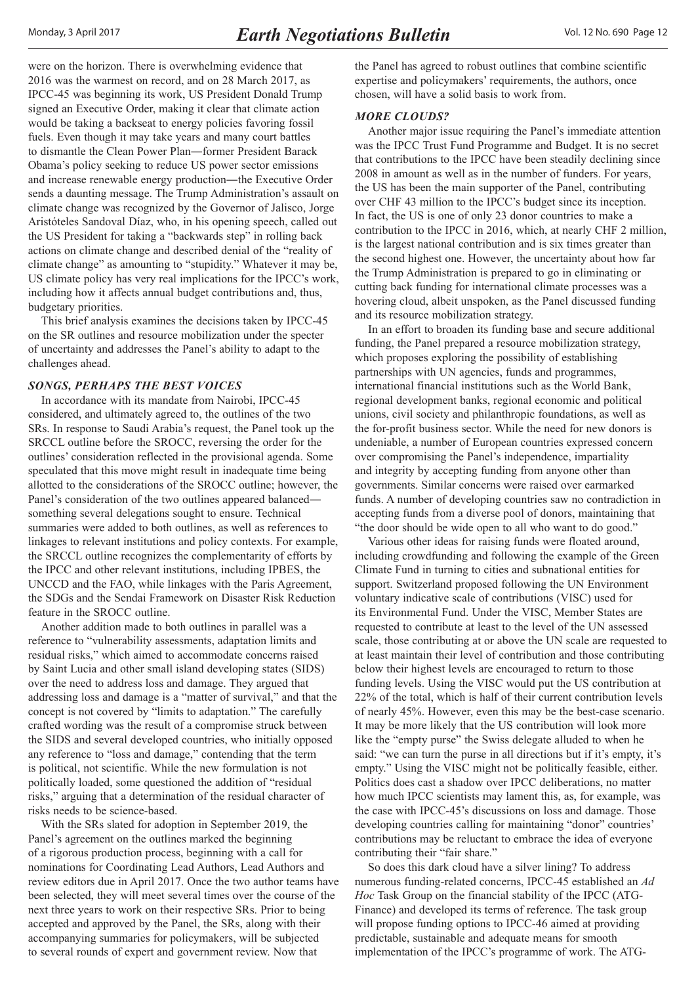were on the horizon. There is overwhelming evidence that 2016 was the warmest on record, and on 28 March 2017, as IPCC-45 was beginning its work, US President Donald Trump signed an Executive Order, making it clear that climate action would be taking a backseat to energy policies favoring fossil fuels. Even though it may take years and many court battles to dismantle the Clean Power Plan―former President Barack Obama's policy seeking to reduce US power sector emissions and increase renewable energy production―the Executive Order sends a daunting message. The Trump Administration's assault on climate change was recognized by the Governor of Jalisco, Jorge Aristóteles Sandoval Díaz, who, in his opening speech, called out the US President for taking a "backwards step" in rolling back actions on climate change and described denial of the "reality of climate change" as amounting to "stupidity." Whatever it may be, US climate policy has very real implications for the IPCC's work, including how it affects annual budget contributions and, thus, budgetary priorities.

This brief analysis examines the decisions taken by IPCC-45 on the SR outlines and resource mobilization under the specter of uncertainty and addresses the Panel's ability to adapt to the challenges ahead.

#### *SONGS, PERHAPS THE BEST VOICES*

In accordance with its mandate from Nairobi, IPCC-45 considered, and ultimately agreed to, the outlines of the two SRs. In response to Saudi Arabia's request, the Panel took up the SRCCL outline before the SROCC, reversing the order for the outlines' consideration reflected in the provisional agenda. Some speculated that this move might result in inadequate time being allotted to the considerations of the SROCC outline; however, the Panel's consideration of the two outlines appeared balanced― something several delegations sought to ensure. Technical summaries were added to both outlines, as well as references to linkages to relevant institutions and policy contexts. For example, the SRCCL outline recognizes the complementarity of efforts by the IPCC and other relevant institutions, including IPBES, the UNCCD and the FAO, while linkages with the Paris Agreement, the SDGs and the Sendai Framework on Disaster Risk Reduction feature in the SROCC outline.

Another addition made to both outlines in parallel was a reference to "vulnerability assessments, adaptation limits and residual risks," which aimed to accommodate concerns raised by Saint Lucia and other small island developing states (SIDS) over the need to address loss and damage. They argued that addressing loss and damage is a "matter of survival," and that the concept is not covered by "limits to adaptation." The carefully crafted wording was the result of a compromise struck between the SIDS and several developed countries, who initially opposed any reference to "loss and damage," contending that the term is political, not scientific. While the new formulation is not politically loaded, some questioned the addition of "residual risks," arguing that a determination of the residual character of risks needs to be science-based.

With the SRs slated for adoption in September 2019, the Panel's agreement on the outlines marked the beginning of a rigorous production process, beginning with a call for nominations for Coordinating Lead Authors, Lead Authors and review editors due in April 2017. Once the two author teams have been selected, they will meet several times over the course of the next three years to work on their respective SRs. Prior to being accepted and approved by the Panel, the SRs, along with their accompanying summaries for policymakers, will be subjected to several rounds of expert and government review. Now that

the Panel has agreed to robust outlines that combine scientific expertise and policymakers' requirements, the authors, once chosen, will have a solid basis to work from.

#### *MORE CLOUDS?*

Another major issue requiring the Panel's immediate attention was the IPCC Trust Fund Programme and Budget. It is no secret that contributions to the IPCC have been steadily declining since 2008 in amount as well as in the number of funders. For years, the US has been the main supporter of the Panel, contributing over CHF 43 million to the IPCC's budget since its inception. In fact, the US is one of only 23 donor countries to make a contribution to the IPCC in 2016, which, at nearly CHF 2 million, is the largest national contribution and is six times greater than the second highest one. However, the uncertainty about how far the Trump Administration is prepared to go in eliminating or cutting back funding for international climate processes was a hovering cloud, albeit unspoken, as the Panel discussed funding and its resource mobilization strategy.

In an effort to broaden its funding base and secure additional funding, the Panel prepared a resource mobilization strategy, which proposes exploring the possibility of establishing partnerships with UN agencies, funds and programmes, international financial institutions such as the World Bank, regional development banks, regional economic and political unions, civil society and philanthropic foundations, as well as the for-profit business sector. While the need for new donors is undeniable, a number of European countries expressed concern over compromising the Panel's independence, impartiality and integrity by accepting funding from anyone other than governments. Similar concerns were raised over earmarked funds. A number of developing countries saw no contradiction in accepting funds from a diverse pool of donors, maintaining that "the door should be wide open to all who want to do good."

Various other ideas for raising funds were floated around, including crowdfunding and following the example of the Green Climate Fund in turning to cities and subnational entities for support. Switzerland proposed following the UN Environment voluntary indicative scale of contributions (VISC) used for its Environmental Fund. Under the VISC, Member States are requested to contribute at least to the level of the UN assessed scale, those contributing at or above the UN scale are requested to at least maintain their level of contribution and those contributing below their highest levels are encouraged to return to those funding levels. Using the VISC would put the US contribution at 22% of the total, which is half of their current contribution levels of nearly 45%. However, even this may be the best-case scenario. It may be more likely that the US contribution will look more like the "empty purse" the Swiss delegate alluded to when he said: "we can turn the purse in all directions but if it's empty, it's empty." Using the VISC might not be politically feasible, either. Politics does cast a shadow over IPCC deliberations, no matter how much IPCC scientists may lament this, as, for example, was the case with IPCC-45's discussions on loss and damage. Those developing countries calling for maintaining "donor" countries' contributions may be reluctant to embrace the idea of everyone contributing their "fair share."

So does this dark cloud have a silver lining? To address numerous funding-related concerns, IPCC-45 established an *Ad Hoc* Task Group on the financial stability of the IPCC (ATG-Finance) and developed its terms of reference. The task group will propose funding options to IPCC-46 aimed at providing predictable, sustainable and adequate means for smooth implementation of the IPCC's programme of work. The ATG-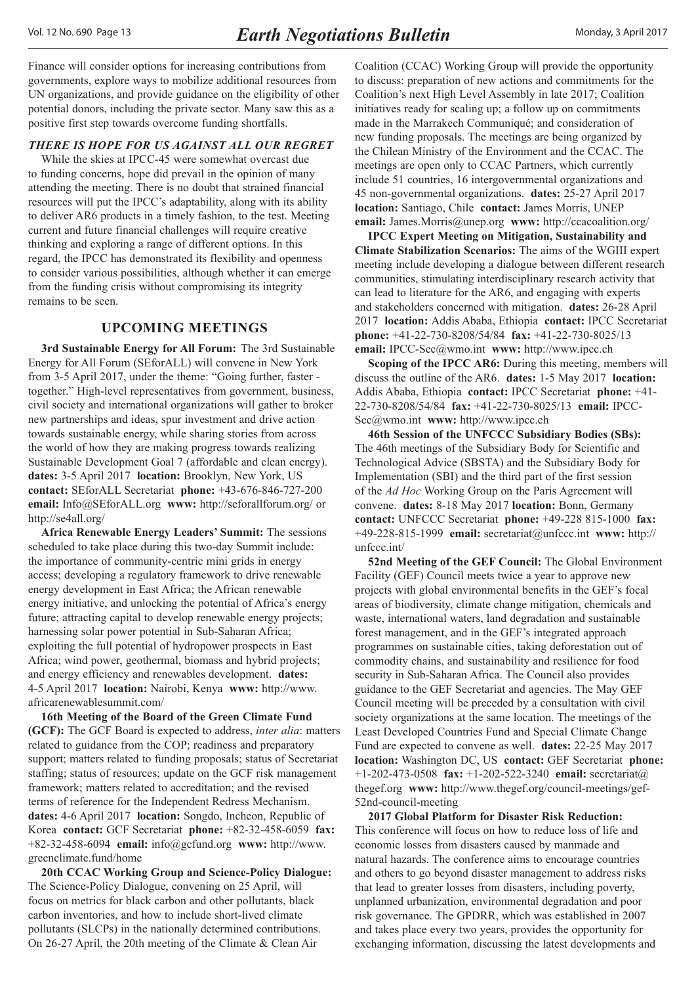<span id="page-12-0"></span>Finance will consider options for increasing contributions from governments, explore ways to mobilize additional resources from UN organizations, and provide guidance on the eligibility of other potential donors, including the private sector. Many saw this as a positive first step towards overcome funding shortfalls.

#### *THERE IS HOPE FOR US AGAINST ALL OUR REGRET*

While the skies at IPCC-45 were somewhat overcast due to funding concerns, hope did prevail in the opinion of many attending the meeting. There is no doubt that strained financial resources will put the IPCC's adaptability, along with its ability to deliver AR6 products in a timely fashion, to the test. Meeting current and future financial challenges will require creative thinking and exploring a range of different options. In this regard, the IPCC has demonstrated its flexibility and openness to consider various possibilities, although whether it can emerge from the funding crisis without compromising its integrity remains to be seen.

## **UPCOMING MEETINGS**

**3rd Sustainable Energy for All Forum:** The 3rd Sustainable Energy for All Forum (SEforALL) will convene in New York from 3-5 April 2017, under the theme: "Going further, faster together." High-level representatives from government, business, civil society and international organizations will gather to broker new partnerships and ideas, spur investment and drive action towards sustainable energy, while sharing stories from across the world of how they are making progress towards realizing Sustainable Development Goal 7 (affordable and clean energy). **dates:** 3-5 April 2017 **location:** Brooklyn, New York, US **contact:** SEforALL Secretariat **phone:** +43-676-846-727-200 **email:** Info@SEforALL.org **www:** http://seforallforum.org/ or http://se4all.org/

**Africa Renewable Energy Leaders' Summit:** The sessions scheduled to take place during this two-day Summit include: the importance of community-centric mini grids in energy access; developing a regulatory framework to drive renewable energy development in East Africa; the African renewable energy initiative, and unlocking the potential of Africa's energy future; attracting capital to develop renewable energy projects; harnessing solar power potential in Sub-Saharan Africa; exploiting the full potential of hydropower prospects in East Africa; wind power, geothermal, biomass and hybrid projects; and energy efficiency and renewables development. **dates:**  4-5 April 2017 **location:** Nairobi, Kenya **www:** [http://www.](http://www.africarenewablesummit.com/) [africarenewablesummit.com/](http://www.africarenewablesummit.com/) 

**16th Meeting of the Board of the Green Climate Fund (GCF):** The GCF Board is expected to address, *inter alia*: matters related to guidance from the COP; readiness and preparatory support; matters related to funding proposals; status of Secretariat staffing; status of resources; update on the GCF risk management framework; matters related to accreditation; and the revised terms of reference for the Independent Redress Mechanism. **dates:** 4-6 April 2017 **location:** Songdo, Incheon, Republic of Korea **contact:** GCF Secretariat **phone:** +82-32-458-6059 **fax:**  +82-32-458-6094 **email:** info@gcfund.org **www:** [http://www.](http://www.greenclimate.fund/home) [greenclimate.fund/home](http://www.greenclimate.fund/home)

**20th CCAC Working Group and Science-Policy Dialogue:** The Science-Policy Dialogue, convening on 25 April, will focus on metrics for black carbon and other pollutants, black carbon inventories, and how to include short-lived climate pollutants (SLCPs) in the nationally determined contributions. On 26-27 April, the 20th meeting of the Climate & Clean Air

Coalition (CCAC) Working Group will provide the opportunity to discuss: preparation of new actions and commitments for the Coalition's next High Level Assembly in late 2017; Coalition initiatives ready for scaling up; a follow up on commitments made in the Marrakech Communiqué; and consideration of new funding proposals. The meetings are being organized by the Chilean Ministry of the Environment and the CCAC. The meetings are open only to CCAC Partners, which currently include 51 countries, 16 intergovernmental organizations and 45 non-governmental organizations. **dates:** 25-27 April 2017 **location:** Santiago, Chile **contact:** James Morris, UNEP **email:** James.Morris@unep.org **www:** http://ccacoalition.org/

**IPCC Expert Meeting on Mitigation, Sustainability and Climate Stabilization Scenarios:** The aims of the WGIII expert meeting include developing a dialogue between different research communities, stimulating interdisciplinary research activity that can lead to literature for the AR6, and engaging with experts and stakeholders concerned with mitigation. **dates:** 26-28 April 2017 **location:** Addis Ababa, Ethiopia **contact:** IPCC Secretariat **phone:** +41-22-730-8208/54/84 **fax:** +41-22-730-8025/13 **email:** IPCC-Sec@wmo.int **www:** http://www.ipcc.ch

**Scoping of the IPCC AR6:** During this meeting, members will discuss the outline of the AR6. **dates:** 1-5 May 2017 **location:**  Addis Ababa, Ethiopia **contact:** IPCC Secretariat **phone:** +41- 22-730-8208/54/84 **fax:** +41-22-730-8025/13 **email:** IPCC-Sec@wmo.int **www:** http://www.ipcc.ch

**46th Session of the UNFCCC Subsidiary Bodies (SBs):**  The 46th meetings of the Subsidiary Body for Scientific and Technological Advice (SBSTA) and the Subsidiary Body for Implementation (SBI) and the third part of the first session of the *Ad Hoc* Working Group on the Paris Agreement will convene. **dates:** 8-18 May 2017 **location:** Bonn, Germany **contact:** UNFCCC Secretariat **phone:** +49-228 815-1000 **fax:** +49-228-815-1999 **email:** secretariat@unfccc.int **www:** http:// unfccc.int/

**52nd Meeting of the GEF Council:** The Global Environment Facility (GEF) Council meets twice a year to approve new projects with global environmental benefits in the GEF's focal areas of biodiversity, climate change mitigation, chemicals and waste, international waters, land degradation and sustainable forest management, and in the GEF's integrated approach programmes on sustainable cities, taking deforestation out of commodity chains, and sustainability and resilience for food security in Sub-Saharan Africa. The Council also provides guidance to the GEF Secretariat and agencies. The May GEF Council meeting will be preceded by a consultation with civil society organizations at the same location. The meetings of the Least Developed Countries Fund and Special Climate Change Fund are expected to convene as well. **dates:** 22-25 May 2017 **location:** Washington DC, US **contact:** GEF Secretariat **phone:**  +1-202-473-0508 **fax:** +1-202-522-3240 **email:** secretariat@ thegef.org **www:** [http://www.thegef.org/council-meetings/gef-](http://www.thegef.org/council-meetings/gef-52nd-council-meeting)[52nd-council-meeting](http://www.thegef.org/council-meetings/gef-52nd-council-meeting)

**2017 Global Platform for Disaster Risk Reduction:**  This conference will focus on how to reduce loss of life and economic losses from disasters caused by manmade and natural hazards. The conference aims to encourage countries and others to go beyond disaster management to address risks that lead to greater losses from disasters, including poverty, unplanned urbanization, environmental degradation and poor risk governance. The GPDRR, which was established in 2007 and takes place every two years, provides the opportunity for exchanging information, discussing the latest developments and